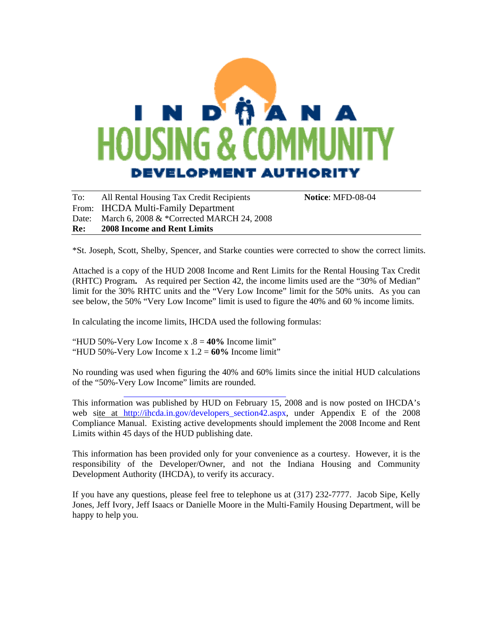# **A** N D DEVELOPMENT AUTHORITY

To: All Rental Housing Tax Credit Recipients **Notice**: MFD-08-04 From: IHCDA Multi-Family Department Date: March 6, 2008 & \*Corrected MARCH 24, 2008 **Re: 2008 Income and Rent Limits** 

\*St. Joseph, Scott, Shelby, Spencer, and Starke counties were corrected to show the correct limits.

Attached is a copy of the HUD 2008 Income and Rent Limits for the Rental Housing Tax Credit (RHTC) Program**.** As required per Section 42, the income limits used are the "30% of Median" limit for the 30% RHTC units and the "Very Low Income" limit for the 50% units. As you can see below, the 50% "Very Low Income" limit is used to figure the 40% and 60 % income limits.

In calculating the income limits, IHCDA used the following formulas:

"HUD 50%-Very Low Income x .8 = **40%** Income limit" "HUD 50%-Very Low Income x 1.2 = **60%** Income limit"

No rounding was used when figuring the 40% and 60% limits since the initial HUD calculations of the "50%-[Very Low Income" limits are rounded.](http://ihcda.in.gov/developers_section42.aspx) 

This information was published by HUD on February 15, 2008 and is now posted on IHCDA's web site at http://ihcda.in.gov/developers\_section42.aspx, under Appendix E of the 2008 Compliance Manual. Existing active developments should implement the 2008 Income and Rent Limits within 45 days of the HUD publishing date.

This information has been provided only for your convenience as a courtesy. However, it is the responsibility of the Developer/Owner, and not the Indiana Housing and Community Development Authority (IHCDA), to verify its accuracy.

If you have any questions, please feel free to telephone us at (317) 232-7777. Jacob Sipe, Kelly Jones, Jeff Ivory, Jeff Isaacs or Danielle Moore in the Multi-Family Housing Department, will be happy to help you.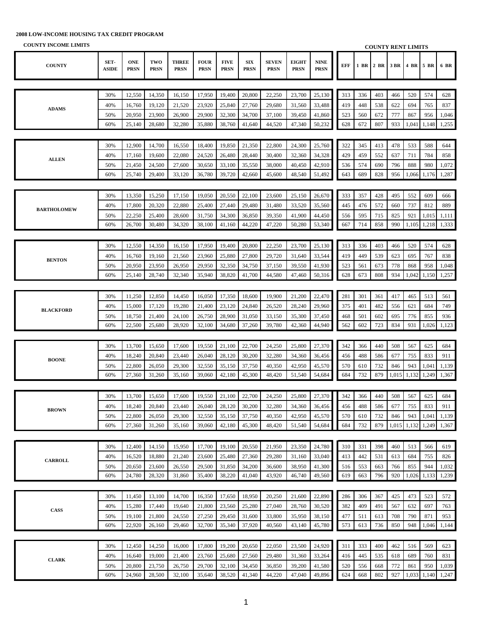| <b>COUNTY INCOME LIMITS</b> |               |                           |                    |                             |                            |                            |                            |                             |                             |                            |     |     |           |       | <b>COUNTY RENT LIMITS</b> |       |       |
|-----------------------------|---------------|---------------------------|--------------------|-----------------------------|----------------------------|----------------------------|----------------------------|-----------------------------|-----------------------------|----------------------------|-----|-----|-----------|-------|---------------------------|-------|-------|
| <b>COUNTY</b>               | SET-<br>ASIDE | <b>ONE</b><br><b>PRSN</b> | TWO<br><b>PRSN</b> | <b>THREE</b><br><b>PRSN</b> | <b>FOUR</b><br><b>PRSN</b> | <b>FIVE</b><br><b>PRSN</b> | ${\bf SIX}$<br><b>PRSN</b> | <b>SEVEN</b><br><b>PRSN</b> | <b>EIGHT</b><br><b>PRSN</b> | <b>NINE</b><br><b>PRSN</b> | EFF |     | 1 BR 2 BR | 3 BR  | 4 BR 5 BR                 |       | 6 BR  |
|                             |               |                           |                    |                             |                            |                            |                            |                             |                             |                            |     |     |           |       |                           |       |       |
|                             | 30%           | 12,550                    | 14,350             | 16,150                      | 17,950                     | 19,400                     | 20,800                     | 22,250                      | 23,700                      | 25,130                     | 313 | 336 | 403       | 466   | 520                       | 574   | 628   |
|                             | 40%           | 16,760                    | 19,120             | 21,520                      | 23,920                     | 25,840                     | 27,760                     | 29,680                      | 31,560                      | 33,488                     | 419 | 448 | 538       | 622   | 694                       | 765   | 837   |
| <b>ADAMS</b>                | 50%           | 20,950                    | 23,900             | 26,900                      | 29,900                     | 32,300                     | 34,700                     | 37,100                      | 39,450                      | 41,860                     | 523 | 560 | 672       | 777   | 867                       | 956   | 1,046 |
|                             | 60%           | 25,140                    | 28,680             | 32,280                      | 35,880                     | 38,760                     | 41,640                     | 44,520                      | 47,340                      | 50,232                     | 628 | 672 | 807       | 933   | 1,041                     | 1,148 | 1,255 |
|                             |               |                           |                    |                             |                            |                            |                            |                             |                             |                            |     |     |           |       |                           |       |       |
|                             | 30%           | 12,900                    | 14,700             | 16,550                      | 18,400                     | 19,850                     | 21,350                     | 22,800                      | 24,300                      | 25,760                     | 322 | 345 | 413       | 478   | 533                       | 588   | 644   |
|                             | 40%           | 17,160                    | 19,600             | 22,080                      | 24,520                     | 26,480                     | 28,440                     | 30,400                      | 32,360                      | 34,328                     | 429 | 459 | 552       | 637   | 711                       | 784   | 858   |
| <b>ALLEN</b>                | 50%           | 21,450                    | 24,500             | 27,600                      | 30,650                     | 33,100                     | 35,550                     | 38,000                      | 40,450                      | 42,910                     | 536 | 574 | 690       | 796   | 888                       | 980   | 1,072 |
|                             | 60%           | 25,740                    | 29,400             | 33,120                      | 36,780                     | 39,720                     | 42,660                     | 45,600                      | 48,540                      | 51,492                     | 643 | 689 | 828       | 956   | 1,066                     | 1,176 | 1,287 |
|                             |               |                           |                    |                             |                            |                            |                            |                             |                             |                            |     |     |           |       |                           |       |       |
|                             | 30%           | 13,350                    | 15,250             | 17,150                      | 19,050                     | 20,550                     | 22,100                     | 23,600                      | 25,150                      | 26,670                     | 333 | 357 | 428       | 495   | 552                       | 609   | 666   |
|                             | 40%           | 17,800                    | 20,320             | 22,880                      | 25,400                     | 27,440                     | 29,480                     | 31,480                      | 33,520                      | 35,560                     | 445 | 476 | 572       | 660   | 737                       | 812   | 889   |
| <b>BARTHOLOMEW</b>          | 50%           | 22,250                    | 25,400             | 28,600                      | 31,750                     | 34,300                     | 36,850                     | 39,350                      | 41,900                      | 44,450                     | 556 | 595 | 715       | 825   | 921                       | 1,015 | 1,111 |
|                             | 60%           | 26,700                    | 30,480             | 34,320                      | 38,100                     | 41,160                     | 44,220                     | 47,220                      | 50,280                      | 53,340                     | 667 | 714 | 858       | 990   | 1,105                     | 1,218 | 1,333 |
|                             |               |                           |                    |                             |                            |                            |                            |                             |                             |                            |     |     |           |       |                           |       |       |
|                             | 30%           | 12,550                    | 14,350             | 16,150                      | 17,950                     | 19,400                     | 20,800                     | 22,250                      | 23,700                      | 25,130                     | 313 | 336 | 403       | 466   | 520                       | 574   | 628   |
|                             | 40%           | 16,760                    | 19,160             | 21,560                      | 23,960                     | 25,880                     | 27,800                     | 29,720                      | 31,640                      | 33,544                     | 419 | 449 | 539       | 623   | 695                       | 767   | 838   |
| <b>BENTON</b>               | 50%           | 20,950                    | 23,950             | 26,950                      | 29,950                     | 32,350                     | 34,750                     | 37,150                      | 39,550                      | 41,930                     | 523 | 561 | 673       | 778   | 868                       | 958   | 1,048 |
|                             | 60%           | 25,140                    | 28,740             | 32,340                      | 35,940                     | 38,820                     | 41,700                     | 44,580                      | 47,460                      | 50,316                     | 628 | 673 | 808       | 934   | 1,042                     | 1,150 | 1,257 |
|                             |               |                           |                    |                             |                            |                            |                            |                             |                             |                            |     |     |           |       |                           |       |       |
|                             | 30%           | 11,250                    | 12,850             | 14,450                      | 16,050                     | 17,350                     | 18,600                     | 19,900                      | 21,200                      | 22,470                     | 281 | 301 | 361       | 417   | 465                       | 513   | 561   |
|                             | 40%           | 15,000                    | 17,120             | 19,280                      | 21,400                     | 23,120                     | 24,840                     | 26,520                      | 28,240                      | 29,960                     | 375 | 401 | 482       | 556   | 621                       | 684   | 749   |
| <b>BLACKFORD</b>            | 50%           | 18,750                    | 21,400             | 24,100                      | 26,750                     | 28,900                     | 31,050                     | 33,150                      | 35,300                      | 37,450                     | 468 | 501 | 602       | 695   | 776                       | 855   | 936   |
|                             | 60%           | 22,500                    | 25,680             | 28,920                      | 32,100                     | 34,680                     | 37,260                     | 39,780                      | 42,360                      | 44,940                     | 562 | 602 | 723       | 834   | 931                       | 1,026 | 1,123 |
|                             |               |                           |                    |                             |                            |                            |                            |                             |                             |                            |     |     |           |       |                           |       |       |
|                             | 30%           | 13,700                    | 15,650             | 17,600                      | 19,550                     | 21,100                     | 22,700                     | 24,250                      | 25,800                      | 27,370                     | 342 | 366 | 440       | 508   | 567                       | 625   | 684   |
|                             | 40%           | 18,240                    | 20,840             | 23,440                      | 26,040                     | 28,120                     | 30,200                     | 32,280                      | 34,360                      | 36,456                     | 456 | 488 | 586       | 677   | 755                       | 833   | 911   |
| <b>BOONE</b>                | 50%           | 22,800                    | 26,050             | 29,300                      | 32,550                     | 35,150                     | 37,750                     | 40,350                      | 42,950                      | 45,570                     | 570 | 610 | 732       | 846   | 943                       | 1,041 | 1,139 |
|                             | 60%           | 27,360                    | 31,260             | 35,160                      | 39,060                     | 42,180                     | 45,300                     | 48,420                      | 51,540                      | 54,684                     | 684 | 732 | 879       | 1,015 | 1,132                     | 1,249 | 1,367 |
|                             |               |                           |                    |                             |                            |                            |                            |                             |                             |                            |     |     |           |       |                           |       |       |
|                             | 30%           | 13,700                    | 15,650             | 17,600                      | 19,550                     | 21,100                     | 22,700                     | 24,250                      | 25,800                      | 27,370                     | 342 | 366 | 440       | 508   | 567                       | 625   | 684   |
|                             | 40%           | 18,240                    | 20,840             | 23,440                      | 26,040                     | 28,120                     | 30,200                     | 32,280                      | 34,360                      | 36,456                     | 456 | 488 | 586       | 677   | 755                       | 833   | 911   |
| <b>BROWN</b>                | 50%           | 22,800                    | 26,050             | 29,300                      | 32,550                     | 35,150                     | 37,750                     | 40,350                      | 42,950                      | 45,570                     | 570 | 610 | 732       | 846   | 943                       | 1,041 | 1,139 |
|                             | 60%           | 27,360                    | 31,260             | 35,160                      | 39,060                     | 42,180                     | 45,300                     | 48,420                      | 51,540                      | 54,684                     | 684 | 732 | 879       | 1,015 | 1,132                     | 1,249 | 1,367 |
|                             |               |                           |                    |                             |                            |                            |                            |                             |                             |                            |     |     |           |       |                           |       |       |
|                             | 30%           | 12,400                    | 14,150             | 15,950                      | 17,700                     | 19,100                     | 20,550                     | 21,950                      | 23,350                      | 24,780                     | 310 | 331 | 398       | 460   | 513                       | 566   | 619   |
|                             | 40%           | 16,520                    | 18,880             | 21,240                      | 23,600                     | 25,480                     | 27,360                     | 29,280                      | 31,160                      | 33,040                     | 413 | 442 | 531       | 613   | 684                       | 755   | 826   |
| <b>CARROLL</b>              | 50%           | 20,650                    | 23,600             | 26,550                      | 29,500                     | 31,850                     | 34,200                     | 36,600                      | 38,950                      | 41,300                     | 516 | 553 | 663       | 766   | 855                       | 944   | 1,032 |
|                             | 60%           | 24,780                    | 28,320             | 31,860                      | 35,400                     | 38,220                     | 41,040                     | 43,920                      | 46,740                      | 49,560                     | 619 | 663 | 796       | 920   | 1,026                     | 1,133 | 1,239 |
|                             |               |                           |                    |                             |                            |                            |                            |                             |                             |                            |     |     |           |       |                           |       |       |
|                             | 30%           | 11,450                    | 13,100             | 14,700                      | 16,350                     | 17,650                     | 18,950                     | 20,250                      | 21,600                      | 22,890                     | 286 | 306 | 367       | 425   | 473                       | 523   | 572   |
|                             | 40%           | 15,280                    | 17,440             | 19,640                      | 21,800                     | 23,560                     | 25,280                     | 27,040                      | 28,760                      | 30,520                     | 382 | 409 | 491       | 567   | 632                       | 697   | 763   |
| CASS                        | 50%           | 19,100                    | 21,800             | 24,550                      | 27,250                     | 29,450                     | 31,600                     | 33,800                      | 35,950                      | 38,150                     | 477 | 511 | 613       | 708   | 790                       | 871   | 953   |
|                             | 60%           | 22,920                    | 26,160             | 29,460                      | 32,700                     | 35,340                     | 37,920                     | 40,560                      | 43,140                      | 45,780                     | 573 | 613 | 736       | 850   | 948                       | 1,046 | 1,144 |
|                             |               |                           |                    |                             |                            |                            |                            |                             |                             |                            |     |     |           |       |                           |       |       |
|                             | 30%           | 12,450                    | 14,250             | 16,000                      | 17,800                     | 19,200                     | 20,650                     | 22,050                      | 23,500                      | 24,920                     | 311 | 333 | 400       | 462   | 516                       | 569   | 623   |
|                             | 40%           | 16,640                    | 19,000             | 21,400                      | 23,760                     | 25,680                     | 27,560                     | 29,480                      | 31,360                      | 33,264                     | 416 | 445 | 535       | 618   | 689                       | 760   | 831   |
| <b>CLARK</b>                | 50%           | 20,800                    | 23,750             | 26,750                      | 29,700                     | 32,100                     | 34,450                     | 36,850                      | 39,200                      | 41,580                     | 520 | 556 | 668       | 772   | 861                       | 950   | 1,039 |
|                             | 60%           | 24,960                    | 28,500             | 32,100                      | 35,640                     | 38,520                     | 41,340                     | 44,220                      | 47,040                      | 49,896                     | 624 | 668 | 802       | 927   | 1,033                     | 1,140 | 1,247 |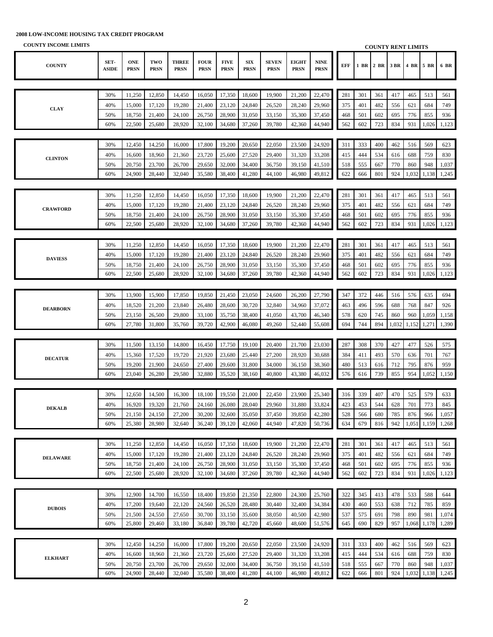| <b>COUNTY INCOME LIMITS</b> |                      |                           |                    |                             |                            |                            |                           |                             |                             |                            |     |     | <b>COUNTY RENT LIMITS</b> |       |       |           |       |
|-----------------------------|----------------------|---------------------------|--------------------|-----------------------------|----------------------------|----------------------------|---------------------------|-----------------------------|-----------------------------|----------------------------|-----|-----|---------------------------|-------|-------|-----------|-------|
| <b>COUNTY</b>               | SET-<br><b>ASIDE</b> | <b>ONE</b><br><b>PRSN</b> | TWO<br><b>PRSN</b> | <b>THREE</b><br><b>PRSN</b> | <b>FOUR</b><br><b>PRSN</b> | <b>FIVE</b><br><b>PRSN</b> | <b>SIX</b><br><b>PRSN</b> | <b>SEVEN</b><br><b>PRSN</b> | <b>EIGHT</b><br><b>PRSN</b> | <b>NINE</b><br><b>PRSN</b> | EFF |     | 1 BR 2 BR                 | 3 BR  |       | 4 BR 5 BR | 6 BR  |
|                             |                      |                           |                    |                             |                            |                            |                           |                             |                             |                            |     |     |                           |       |       |           |       |
|                             | 30%                  | 11,250                    | 12,850             | 14,450                      | 16,050                     | 17,350                     | 18,600                    | 19,900                      | 21,200                      | 22,470                     | 281 | 301 | 361                       | 417   | 465   | 513       | 561   |
|                             | 40%                  | 15,000                    | 17,120             | 19,280                      | 21,400                     | 23,120                     | 24,840                    | 26,520                      | 28,240                      | 29,960                     | 375 | 401 | 482                       | 556   | 621   | 684       | 749   |
| <b>CLAY</b>                 | 50%                  | 18,750                    | 21,400             | 24,100                      | 26,750                     | 28,900                     | 31,050                    | 33,150                      | 35,300                      | 37,450                     | 468 | 501 | 602                       | 695   | 776   | 855       | 936   |
|                             | 60%                  | 22,500                    | 25,680             | 28,920                      | 32,100                     | 34,680                     | 37,260                    | 39,780                      | 42,360                      | 44,940                     | 562 | 602 | 723                       | 834   | 931   | 1,026     | 1,123 |
|                             |                      |                           |                    |                             |                            |                            |                           |                             |                             |                            |     |     |                           |       |       |           |       |
|                             | 30%                  | 12,450                    | 14,250             | 16,000                      | 17,800                     | 19,200                     | 20,650                    | 22,050                      | 23,500                      | 24,920                     | 311 | 333 | 400                       | 462   | 516   | 569       | 623   |
|                             | 40%                  | 16,600                    | 18,960             | 21,360                      | 23,720                     | 25,600                     | 27,520                    | 29,400                      | 31,320                      | 33,208                     | 415 | 444 | 534                       | 616   | 688   | 759       | 830   |
| <b>CLINTON</b>              | 50%                  | 20,750                    | 23,700             | 26,700                      | 29,650                     | 32,000                     | 34,400                    | 36,750                      | 39,150                      | 41,510                     | 518 | 555 | 667                       | 770   | 860   | 948       | 1,037 |
|                             | 60%                  | 24,900                    | 28,440             | 32,040                      | 35,580                     | 38,400                     | 41,280                    | 44,100                      | 46,980                      | 49,812                     | 622 | 666 | 801                       | 924   | 1,032 | 1,138     | 1,245 |
|                             |                      |                           |                    |                             |                            |                            |                           |                             |                             |                            |     |     |                           |       |       |           |       |
|                             | 30%                  | 11,250                    | 12,850             | 14,450                      | 16,050                     | 17,350                     | 18,600                    | 19,900                      | 21,200                      | 22,470                     | 281 | 301 | 361                       | 417   | 465   | 513       | 561   |
|                             | 40%                  | 15,000                    | 17,120             | 19,280                      | 21,400                     | 23,120                     | 24,840                    | 26,520                      | 28,240                      | 29,960                     | 375 | 401 | 482                       | 556   | 621   | 684       | 749   |
| <b>CRAWFORD</b>             | 50%                  | 18,750                    | 21,400             | 24,100                      | 26,750                     | 28,900                     | 31,050                    | 33,150                      | 35,300                      | 37,450                     | 468 | 501 | 602                       | 695   | 776   | 855       | 936   |
|                             | 60%                  | 22,500                    | 25,680             | 28,920                      | 32,100                     | 34,680                     | 37,260                    | 39,780                      | 42,360                      | 44,940                     | 562 | 602 | 723                       | 834   | 931   | 1,026     | 1,123 |
|                             |                      |                           |                    |                             |                            |                            |                           |                             |                             |                            |     |     |                           |       |       |           |       |
|                             | 30%                  | 11,250                    | 12,850             | 14,450                      | 16,050                     | 17,350                     | 18,600                    | 19,900                      | 21,200                      | 22,470                     | 281 | 301 | 361                       | 417   | 465   | 513       | 561   |
|                             | 40%                  | 15,000                    | 17,120             | 19,280                      | 21,400                     | 23,120                     | 24,840                    | 26,520                      | 28,240                      | 29,960                     | 375 | 401 | 482                       | 556   | 621   | 684       | 749   |
| <b>DAVIESS</b>              | 50%                  | 18,750                    | 21,400             | 24,100                      | 26,750                     | 28,900                     | 31,050                    | 33,150                      | 35,300                      | 37,450                     | 468 | 501 | 602                       | 695   | 776   | 855       | 936   |
|                             | 60%                  | 22,500                    | 25,680             | 28,920                      | 32,100                     | 34,680                     | 37,260                    | 39,780                      | 42,360                      | 44,940                     | 562 | 602 | 723                       | 834   | 931   | 1,026     | 1,123 |
|                             |                      |                           |                    |                             |                            |                            |                           |                             |                             |                            |     |     |                           |       |       |           |       |
|                             | 30%                  | 13,900                    | 15,900             | 17,850                      | 19,850                     | 21,450                     | 23,050                    | 24,600                      | 26,200                      | 27,790                     | 347 | 372 | 446                       | 516   | 576   | 635       | 694   |
|                             | 40%                  | 18,520                    | 21,200             | 23,840                      | 26,480                     | 28,600                     | 30,720                    | 32,840                      | 34,960                      | 37,072                     | 463 | 496 | 596                       | 688   | 768   | 847       | 926   |
| <b>DEARBORN</b>             | 50%                  | 23,150                    | 26,500             | 29,800                      | 33,100                     | 35,750                     | 38,400                    | 41,050                      | 43,700                      | 46,340                     | 578 | 620 | 745                       | 860   | 960   | 1,059     | 1,158 |
|                             | 60%                  | 27,780                    | 31,800             | 35,760                      | 39,720                     | 42,900                     | 46,080                    | 49,260                      | 52,440                      | 55,608                     | 694 | 744 | 894                       | 1,032 | 1,152 | 1,271     | 1,390 |
|                             |                      |                           |                    |                             |                            |                            |                           |                             |                             |                            |     |     |                           |       |       |           |       |
|                             | 30%                  | 11,500                    | 13,150             | 14,800                      | 16,450                     | 17,750                     | 19,100                    | 20,400                      | 21,700                      | 23,030                     | 287 | 308 | 370                       | 427   | 477   | 526       | 575   |
|                             | 40%                  | 15,360                    | 17,520             | 19,720                      | 21,920                     | 23,680                     | 25,440                    | 27,200                      | 28,920                      | 30,688                     | 384 | 411 | 493                       | 570   | 636   | 701       | 767   |
| <b>DECATUR</b>              | 50%                  | 19,200                    | 21,900             | 24,650                      | 27,400                     | 29,600                     | 31,800                    | 34,000                      | 36,150                      | 38,360                     | 480 | 513 | 616                       | 712   | 795   | 876       | 959   |
|                             | 60%                  | 23,040                    | 26,280             | 29,580                      | 32,880                     | 35,520                     | 38,160                    | 40,800                      | 43,380                      | 46,032                     | 576 | 616 | 739                       | 855   | 954   | 1,052     | 1,150 |
|                             |                      |                           |                    |                             |                            |                            |                           |                             |                             |                            |     |     |                           |       |       |           |       |
|                             | 30%                  | 12,650                    | 14,500             | 16,300                      | 18,100                     | 19,550                     | 21,000                    | 22,450                      | 23,900                      | 25,340                     | 316 | 339 | 407                       | 470   | 525   | 579       | 633   |
|                             | 40%                  | 16,920                    | 19,320             | 21,760                      | 24,160                     | 26,080                     | 28,040                    | 29,960                      | 31,880                      | 33,824                     | 423 | 453 | 544                       | 628   | 701   | 773       | 845   |
| <b>DEKALB</b>               | 50%                  | 21,150                    | 24,150             | 27,200                      | 30,200                     | 32,600                     | 35,050                    | 37,450                      | 39,850                      | 42,280                     | 528 | 566 | 680                       | 785   | 876   | 966       | 1,057 |
|                             | 60%                  | 25,380                    | 28,980             | 32,640                      | 36,240                     | 39,120                     | 42,060                    | 44,940                      | 47,820                      | 50,736                     | 634 | 679 | 816                       | 942   | 1,051 | 1,159     | 1,268 |
|                             |                      |                           |                    |                             |                            |                            |                           |                             |                             |                            |     |     |                           |       |       |           |       |
|                             | 30%                  | 11,250                    | 12,850             | 14,450                      | 16,050                     | 17,350                     | 18,600                    | 19,900                      | 21,200                      | 22,470                     | 281 | 301 | 361                       | 417   | 465   | 513       | 561   |
| <b>DELAWARE</b>             | 40%                  | 15,000                    | 17,120             | 19,280                      | 21,400                     | 23,120                     | 24,840                    | 26,520                      | 28,240                      | 29,960                     | 375 | 401 | 482                       | 556   | 621   | 684       | 749   |
|                             | 50%                  | 18,750                    | 21,400             | 24,100                      | 26,750                     | 28,900                     | 31,050                    | 33,150                      | 35,300                      | 37,450                     | 468 | 501 | 602                       | 695   | 776   | 855       | 936   |
|                             | 60%                  | 22,500                    | 25,680             | 28,920                      | 32,100                     | 34,680                     | 37,260                    | 39,780                      | 42,360                      | 44,940                     | 562 | 602 | 723                       | 834   | 931   | 1,026     | 1,123 |
|                             |                      |                           |                    |                             |                            |                            |                           |                             |                             |                            |     |     |                           |       |       |           |       |
|                             | 30%                  | 12,900                    | 14,700             | 16,550                      | 18,400                     | 19,850                     | 21,350                    | 22,800                      | 24,300                      | 25,760                     | 322 | 345 | 413                       | 478   | 533   | 588       | 644   |
| <b>DUBOIS</b>               | 40%                  | 17,200                    | 19,640             | 22,120                      | 24,560                     | 26,520                     | 28,480                    | 30,440                      | 32,400                      | 34,384                     | 430 | 460 | 553                       | 638   | 712   | 785       | 859   |
|                             | 50%                  | 21,500                    | 24,550             | 27,650                      | 30,700                     | 33,150                     | 35,600                    | 38,050                      | 40,500                      | 42,980                     | 537 | 575 | 691                       | 798   | 890   | 981       | 1,074 |
|                             | 60%                  | 25,800                    | 29,460             | 33,180                      | 36,840                     | 39,780                     | 42,720                    | 45,660                      | 48,600                      | 51,576                     | 645 | 690 | 829                       | 957   | 1,068 | 1,178     | 1,289 |
|                             |                      |                           |                    |                             |                            |                            |                           |                             |                             |                            |     |     |                           |       |       |           |       |
|                             | 30%                  | 12,450                    | 14,250             | 16,000                      | 17,800                     | 19,200                     | 20,650                    | 22,050                      | 23,500                      | 24,920                     | 311 | 333 | 400                       | 462   | 516   | 569       | 623   |
| <b>ELKHART</b>              | 40%                  | 16,600                    | 18,960             | 21,360                      | 23,720                     | 25,600                     | 27,520                    | 29,400                      | 31,320                      | 33,208                     | 415 | 444 | 534                       | 616   | 688   | 759       | 830   |
|                             | 50%                  | 20,750                    | 23,700             | 26,700                      | 29,650                     | 32,000                     | 34,400                    | 36,750                      | 39,150                      | 41,510                     | 518 | 555 | 667                       | 770   | 860   | 948       | 1,037 |
|                             | 60%                  | 24,900                    | 28,440             | 32,040                      | 35,580                     | 38,400                     | 41,280                    | 44,100                      | 46,980                      | 49,812                     | 622 | 666 | 801                       | 924   | 1,032 | 1,138     | 1,245 |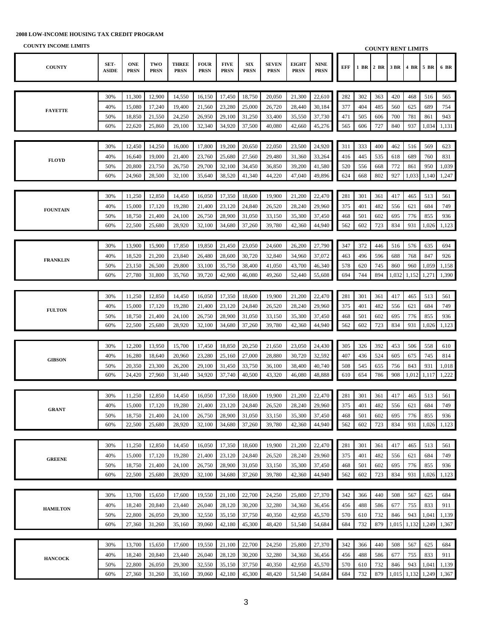| COUNTT THOUGHE LIBRITIO |                      |                           |                    |                             |                            |                            |                           |                             |                             |                            |     |      | <b>COUNTY RENT LIMITS</b> |       |           |       |       |
|-------------------------|----------------------|---------------------------|--------------------|-----------------------------|----------------------------|----------------------------|---------------------------|-----------------------------|-----------------------------|----------------------------|-----|------|---------------------------|-------|-----------|-------|-------|
| <b>COUNTY</b>           | SET-<br><b>ASIDE</b> | <b>ONE</b><br><b>PRSN</b> | TWO<br><b>PRSN</b> | <b>THREE</b><br><b>PRSN</b> | <b>FOUR</b><br><b>PRSN</b> | <b>FIVE</b><br><b>PRSN</b> | <b>SIX</b><br><b>PRSN</b> | <b>SEVEN</b><br><b>PRSN</b> | <b>EIGHT</b><br><b>PRSN</b> | <b>NINE</b><br><b>PRSN</b> | EFF | 1 BR | 2 BR                      | 3 BR  | 4 BR 5 BR |       | 6 BR  |
|                         |                      |                           |                    |                             |                            |                            |                           |                             |                             |                            |     |      |                           |       |           |       |       |
|                         | 30%                  | 11,300                    | 12,900             | 14,550                      | 16,150                     | 17,450                     | 18,750                    | 20,050                      | 21,300                      | 22,610                     | 282 | 302  | 363                       | 420   | 468       | 516   | 565   |
|                         | 40%                  | 15,080                    | 17,240             | 19,400                      | 21,560                     | 23,280                     | 25,000                    | 26,720                      | 28,440                      | 30,184                     | 377 | 404  | 485                       | 560   | 625       | 689   | 754   |
| <b>FAYETTE</b>          | 50%                  | 18,850                    | 21,550             | 24,250                      | 26,950                     | 29,100                     | 31,250                    | 33,400                      | 35,550                      | 37,730                     | 471 | 505  | 606                       | 700   | 781       | 861   | 943   |
|                         | 60%                  | 22,620                    | 25,860             | 29,100                      | 32,340                     | 34,920                     | 37,500                    | 40,080                      | 42,660                      | 45,276                     | 565 | 606  | 727                       | 840   | 937       | 1,034 | 1,131 |
|                         |                      |                           |                    |                             |                            |                            |                           |                             |                             |                            |     |      |                           |       |           |       |       |
|                         | 30%                  | 12,450                    | 14,250             | 16,000                      | 17,800                     | 19,200                     | 20,650                    | 22,050                      | 23,500                      | 24,920                     | 311 | 333  | 400                       | 462   | 516       | 569   | 623   |
|                         | 40%                  | 16,640                    | 19,000             | 21,400                      | 23,760                     | 25,680                     | 27,560                    | 29,480                      | 31,360                      | 33,264                     | 416 | 445  | 535                       | 618   | 689       | 760   | 831   |
| <b>FLOYD</b>            | 50%                  | 20,800                    | 23,750             | 26,750                      | 29,700                     | 32,100                     | 34,450                    | 36,850                      | 39,200                      | 41,580                     | 520 | 556  | 668                       | 772   | 861       | 950   | 1,039 |
|                         | 60%                  | 24,960                    | 28,500             | 32,100                      | 35,640                     | 38,520                     | 41,340                    | 44,220                      | 47,040                      | 49,896                     | 624 | 668  | 802                       | 927   | 1,033     | 1,140 | 1,247 |
|                         |                      |                           |                    |                             |                            |                            |                           |                             |                             |                            |     |      |                           |       |           |       |       |
|                         | 30%                  | 11,250                    | 12,850             | 14,450                      | 16,050                     | 17,350                     | 18,600                    | 19,900                      | 21,200                      | 22,470                     | 281 | 301  | 361                       | 417   | 465       | 513   | 561   |
|                         | 40%                  | 15,000                    | 17,120             | 19,280                      | 21,400                     | 23,120                     | 24,840                    | 26,520                      | 28,240                      | 29,960                     | 375 | 401  | 482                       | 556   | 621       | 684   | 749   |
| <b>FOUNTAIN</b>         | 50%                  | 18,750                    | 21,400             | 24,100                      | 26,750                     | 28,900                     | 31,050                    | 33,150                      | 35,300                      | 37,450                     | 468 | 501  | 602                       | 695   | 776       | 855   | 936   |
|                         | 60%                  | 22,500                    | 25,680             | 28,920                      | 32,100                     | 34,680                     | 37,260                    | 39,780                      | 42,360                      | 44,940                     | 562 | 602  | 723                       | 834   | 931       | 1,026 | 1,123 |
|                         |                      |                           |                    |                             |                            |                            |                           |                             |                             |                            |     |      |                           |       |           |       |       |
|                         | 30%                  | 13,900                    | 15,900             | 17,850                      | 19,850                     | 21,450                     | 23,050                    | 24,600                      | 26,200                      | 27,790                     | 347 | 372  | 446                       | 516   | 576       | 635   | 694   |
|                         | 40%                  | 18,520                    | 21,200             | 23,840                      | 26,480                     | 28,600                     | 30,720                    | 32,840                      | 34,960                      | 37,072                     | 463 | 496  | 596                       | 688   | 768       | 847   | 926   |
| <b>FRANKLIN</b>         | 50%                  | 23,150                    | 26,500             | 29,800                      | 33,100                     | 35,750                     | 38,400                    | 41,050                      | 43,700                      | 46,340                     | 578 | 620  | 745                       | 860   | 960       | 1,059 | 1,158 |
|                         | 60%                  | 27,780                    | 31,800             | 35,760                      | 39,720                     | 42,900                     | 46,080                    | 49,260                      | 52,440                      | 55,608                     | 694 | 744  | 894                       | 1,032 | 1,152     | 1,271 | 1,390 |
|                         |                      |                           |                    |                             |                            |                            |                           |                             |                             |                            |     |      |                           |       |           |       |       |
|                         | 30%                  | 11,250                    | 12,850             | 14,450                      | 16,050                     | 17,350                     | 18,600                    | 19,900                      | 21,200                      | 22,470                     | 281 | 301  | 361                       | 417   | 465       | 513   | 561   |
|                         | 40%                  | 15,000                    | 17,120             | 19,280                      | 21,400                     | 23,120                     | 24,840                    | 26,520                      | 28,240                      | 29,960                     | 375 | 401  | 482                       | 556   | 621       | 684   | 749   |
| <b>FULTON</b>           | 50%                  | 18,750                    | 21,400             | 24,100                      | 26,750                     | 28,900                     | 31,050                    | 33,150                      | 35,300                      | 37,450                     | 468 | 501  | 602                       | 695   | 776       | 855   | 936   |
|                         | 60%                  | 22,500                    | 25,680             | 28,920                      | 32,100                     | 34,680                     | 37,260                    | 39,780                      | 42,360                      | 44,940                     | 562 | 602  | 723                       | 834   | 931       | 1,026 | 1,123 |
|                         |                      |                           |                    |                             |                            |                            |                           |                             |                             |                            |     |      |                           |       |           |       |       |
|                         | 30%                  | 12,200                    | 13,950             | 15,700                      | 17,450                     | 18,850                     | 20,250                    | 21,650                      | 23,050                      | 24,430                     | 305 | 326  | 392                       | 453   | 506       | 558   | 610   |
|                         | 40%                  | 16,280                    | 18,640             | 20,960                      | 23,280                     | 25,160                     | 27,000                    | 28,880                      | 30,720                      | 32,592                     | 407 | 436  | 524                       | 605   | 675       | 745   | 814   |
| <b>GIBSON</b>           | 50%                  | 20,350                    | 23,300             | 26,200                      | 29,100                     | 31,450                     | 33,750                    | 36,100                      | 38,400                      | 40,740                     | 508 | 545  | 655                       | 756   | 843       | 931   | 1,018 |
|                         | 60%                  | 24,420                    | 27,960             | 31,440                      | 34,920                     | 37,740                     | 40,500                    | 43,320                      | 46,080                      | 48,888                     | 610 | 654  | 786                       | 908   | 1,012     | 1,117 | 1,222 |
|                         |                      |                           |                    |                             |                            |                            |                           |                             |                             |                            |     |      |                           |       |           |       |       |
|                         | 30%                  | 11,250                    | 12,850             | 14,450                      | 16,050                     | 17,350                     | 18,600                    | 19,900                      | 21,200                      | 22,470                     | 281 | 301  | 361                       | 417   | 465       | 513   | 561   |
|                         | 40%                  |                           | 15,000 17,120      | 19,280                      | 21,400                     | 23,120                     | 24,840                    | 26,520                      | 28,240                      | 29.960                     | 375 | 401  | 482                       | 556   | 621       | 684   | 749   |
| <b>GRANT</b>            | 50%                  | 18,750                    | 21,400             | 24,100                      | 26,750                     | 28,900                     | 31,050                    | 33,150                      | 35,300                      | 37,450                     | 468 | 501  | 602                       | 695   | 776       | 855   | 936   |
|                         | 60%                  | 22,500                    | 25,680             | 28,920                      | 32,100                     | 34,680                     | 37,260                    | 39,780                      | 42,360                      | 44,940                     | 562 | 602  | 723                       | 834   | 931       | 1,026 | 1,123 |
|                         |                      |                           |                    |                             |                            |                            |                           |                             |                             |                            |     |      |                           |       |           |       |       |
|                         | 30%                  | 11,250                    | 12,850             | 14,450                      | 16,050                     | 17,350                     | 18,600                    | 19,900                      | 21,200                      | 22,470                     | 281 | 301  | 361                       | 417   | 465       | 513   | 561   |
|                         | 40%                  | 15,000                    | 17,120             | 19,280                      | 21,400                     | 23,120                     | 24,840                    | 26,520                      | 28,240                      | 29,960                     | 375 | 401  | 482                       | 556   | 621       | 684   | 749   |
| <b>GREENE</b>           | 50%                  | 18,750                    | 21,400             | 24,100                      | 26,750                     | 28,900                     | 31,050                    | 33,150                      | 35,300                      | 37,450                     | 468 | 501  | 602                       | 695   | 776       | 855   | 936   |
|                         | 60%                  | 22,500                    | 25,680             | 28,920                      | 32,100                     | 34,680                     | 37,260                    | 39,780                      | 42,360                      | 44,940                     | 562 | 602  | 723                       | 834   | 931       | 1,026 | 1,123 |
|                         |                      |                           |                    |                             |                            |                            |                           |                             |                             |                            |     |      |                           |       |           |       |       |
|                         | 30%                  | 13,700                    | 15,650             | 17,600                      | 19,550                     | 21,100                     | 22,700                    | 24,250                      | 25,800                      | 27,370                     | 342 | 366  | 440                       | 508   | 567       | 625   | 684   |
|                         | 40%                  | 18,240                    | 20,840             | 23,440                      | 26,040                     | 28,120                     | 30,200                    | 32,280                      | 34,360                      | 36,456                     | 456 | 488  | 586                       | 677   | 755       | 833   | 911   |
| <b>HAMILTON</b>         | 50%                  | 22,800                    | 26,050             | 29,300                      | 32,550                     | 35,150                     | 37,750                    | 40,350                      | 42,950                      | 45,570                     | 570 | 610  | 732                       | 846   | 943       | 1,041 | 1,139 |
|                         | 60%                  | 27,360                    | 31,260             | 35,160                      | 39,060                     | 42,180                     | 45,300                    | 48,420                      | 51,540                      | 54,684                     | 684 | 732  | 879                       | 1,015 | 1,132     | 1,249 | 1,367 |
|                         |                      |                           |                    |                             |                            |                            |                           |                             |                             |                            |     |      |                           |       |           |       |       |
|                         | 30%                  | 13,700                    | 15,650             | 17,600                      | 19,550                     | 21,100                     | 22,700                    | 24,250                      | 25,800                      | 27,370                     | 342 | 366  | 440                       | 508   | 567       | 625   | 684   |
|                         | 40%                  | 18,240                    | 20,840             | 23,440                      | 26,040                     | 28,120                     | 30,200                    | 32,280                      | 34,360                      | 36,456                     | 456 | 488  | 586                       | 677   | 755       | 833   | 911   |
| <b>HANCOCK</b>          | 50%                  | 22,800                    | 26,050             | 29,300                      | 32,550                     | 35,150                     | 37,750                    | 40,350                      | 42,950                      | 45,570                     | 570 | 610  | 732                       | 846   | 943       | 1,041 | 1,139 |
|                         | 60%                  | 27,360                    | 31,260             | 35,160                      | 39,060                     | 42,180                     | 45,300                    | 48,420                      | 51,540                      | 54,684                     | 684 | 732  | 879                       | 1,015 | 1,132     | 1,249 | 1,367 |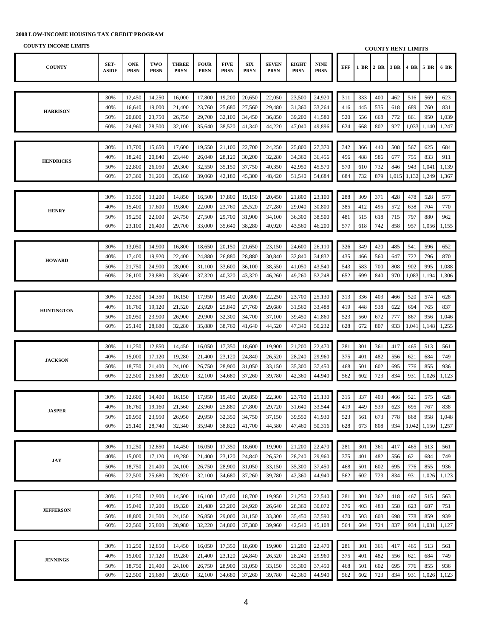| COUNTT INCOME LIMITS |                      |                           |                    |                             |                            |                            |                           |                             |                             |                            |     |            |            | <b>COUNTY RENT LIMITS</b> |           |                |       |
|----------------------|----------------------|---------------------------|--------------------|-----------------------------|----------------------------|----------------------------|---------------------------|-----------------------------|-----------------------------|----------------------------|-----|------------|------------|---------------------------|-----------|----------------|-------|
| <b>COUNTY</b>        | SET-<br><b>ASIDE</b> | <b>ONE</b><br><b>PRSN</b> | TWO<br><b>PRSN</b> | <b>THREE</b><br><b>PRSN</b> | <b>FOUR</b><br><b>PRSN</b> | <b>FIVE</b><br><b>PRSN</b> | <b>SIX</b><br><b>PRSN</b> | <b>SEVEN</b><br><b>PRSN</b> | <b>EIGHT</b><br><b>PRSN</b> | <b>NINE</b><br><b>PRSN</b> | EFF | 1 BR       | 2 BR       | 3 BR                      | 4 BR 5 BR |                | 6 BR  |
|                      |                      |                           |                    |                             |                            |                            |                           |                             |                             |                            |     |            |            |                           |           |                |       |
|                      | 30%                  | 12,450                    | 14,250             | 16,000                      | 17,800                     | 19,200                     | 20,650                    | 22,050                      | 23,500                      | 24,920                     | 311 | 333        | 400        | 462                       | 516       | 569            | 623   |
|                      | 40%                  | 16,640                    | 19,000             | 21,400                      | 23,760                     | 25,680                     | 27,560                    | 29,480                      | 31,360                      | 33,264                     | 416 | 445        | 535        | 618                       | 689       | 760            | 831   |
| <b>HARRISON</b>      | 50%                  | 20,800                    | 23,750             | 26,750                      | 29,700                     | 32,100                     | 34,450                    | 36,850                      | 39,200                      | 41,580                     | 520 | 556        | 668        | 772                       | 861       | 950            | 1,039 |
|                      | 60%                  | 24,960                    | 28,500             | 32,100                      | 35,640                     | 38,520                     | 41,340                    | 44,220                      | 47,040                      | 49,896                     | 624 | 668        | 802        | 927                       | 1,033     | 1,140          | 1,247 |
|                      |                      |                           |                    |                             |                            |                            |                           |                             |                             |                            |     |            |            |                           |           |                |       |
|                      | 30%                  | 13,700                    | 15,650             | 17,600                      | 19,550                     | 21,100                     | 22,700                    | 24,250                      | 25,800                      | 27,370                     | 342 | 366        | 440        | 508                       | 567       | 625            | 684   |
|                      | 40%                  | 18,240                    | 20,840             | 23,440                      | 26,040                     | 28,120                     | 30,200                    | 32,280                      | 34,360                      | 36,456                     | 456 | 488        | 586        | 677                       | 755       | 833            | 911   |
| <b>HENDRICKS</b>     | 50%                  | 22,800                    | 26,050             | 29,300                      |                            |                            |                           | 40,350                      | 42,950                      |                            | 570 |            |            | 846                       | 943       |                | 1,139 |
|                      | 60%                  | 27,360                    | 31,260             | 35,160                      | 32,550<br>39,060           | 35,150<br>42,180           | 37,750<br>45,300          | 48,420                      | 51,540                      | 45,570<br>54,684           | 684 | 610<br>732 | 732<br>879 | 1,015                     | 1,132     | 1,041<br>1,249 | 1,367 |
|                      |                      |                           |                    |                             |                            |                            |                           |                             |                             |                            |     |            |            |                           |           |                |       |
|                      |                      |                           |                    |                             |                            |                            |                           |                             |                             |                            |     |            |            |                           |           |                |       |
|                      | 30%                  | 11,550                    | 13,200             | 14,850                      | 16,500                     | 17,800                     | 19,150                    | 20,450                      | 21,800                      | 23,100                     | 288 | 309        | 371        | 428                       | 478       | 528            | 577   |
| <b>HENRY</b>         | 40%                  | 15,400                    | 17,600             | 19,800                      | 22,000                     | 23,760                     | 25,520                    | 27,280                      | 29,040                      | 30,800                     | 385 | 412        | 495        | 572                       | 638       | 704            | 770   |
|                      | 50%                  | 19,250                    | 22,000             | 24,750                      | 27,500                     | 29,700                     | 31,900                    | 34,100                      | 36,300                      | 38,500                     | 481 | 515        | 618        | 715                       | 797       | 880            | 962   |
|                      | 60%                  | 23,100                    | 26,400             | 29,700                      | 33,000                     | 35,640                     | 38,280                    | 40,920                      | 43,560                      | 46,200                     | 577 | 618        | 742        | 858                       | 957       | 1,056          | 1,155 |
|                      |                      |                           |                    |                             |                            |                            |                           |                             |                             |                            |     |            |            |                           |           |                |       |
|                      | 30%                  | 13,050                    | 14,900             | 16,800                      | 18,650                     | 20,150                     | 21,650                    | 23,150                      | 24,600                      | 26,110                     | 326 | 349        | 420        | 485                       | 541       | 596            | 652   |
| <b>HOWARD</b>        | 40%                  | 17,400                    | 19,920             | 22,400                      | 24,880                     | 26,880                     | 28,880                    | 30,840                      | 32,840                      | 34,832                     | 435 | 466        | 560        | 647                       | 722       | 796            | 870   |
|                      | 50%                  | 21,750                    | 24,900             | 28,000                      | 31,100                     | 33,600                     | 36,100                    | 38,550                      | 41,050                      | 43,540                     | 543 | 583        | 700        | 808                       | 902       | 995            | 1,088 |
|                      | 60%                  | 26,100                    | 29,880             | 33,600                      | 37,320                     | 40,320                     | 43,320                    | 46,260                      | 49,260                      | 52,248                     | 652 | 699        | 840        | 970                       | 1,083     | 1,194          | 1,306 |
|                      |                      |                           |                    |                             |                            |                            |                           |                             |                             |                            |     |            |            |                           |           |                |       |
|                      | 30%                  | 12,550                    | 14,350             | 16,150                      | 17,950                     | 19,400                     | 20,800                    | 22,250                      | 23,700                      | 25,130                     | 313 | 336        | 403        | 466                       | 520       | 574            | 628   |
| <b>HUNTINGTON</b>    | 40%                  | 16,760                    | 19,120             | 21,520                      | 23,920                     | 25,840                     | 27,760                    | 29,680                      | 31,560                      | 33,488                     | 419 | 448        | 538        | 622                       | 694       | 765            | 837   |
|                      | 50%                  | 20,950                    | 23,900             | 26,900                      | 29,900                     | 32,300                     | 34,700                    | 37,100                      | 39,450                      | 41,860                     | 523 | 560        | 672        | 777                       | 867       | 956            | 1,046 |
|                      | 60%                  | 25,140                    | 28,680             | 32,280                      | 35,880                     | 38,760                     | 41,640                    | 44,520                      | 47,340                      | 50,232                     | 628 | 672        | 807        | 933                       | 1,041     | 1,148          | 1,255 |
|                      |                      |                           |                    |                             |                            |                            |                           |                             |                             |                            |     |            |            |                           |           |                |       |
|                      | 30%                  | 11,250                    | 12,850             | 14,450                      | 16,050                     | 17,350                     | 18,600                    | 19,900                      | 21,200                      | 22,470                     | 281 | 301        | 361        | 417                       | 465       | 513            | 561   |
| <b>JACKSON</b>       | 40%                  | 15,000                    | 17,120             | 19,280                      | 21,400                     | 23,120                     | 24,840                    | 26,520                      | 28,240                      | 29,960                     | 375 | 401        | 482        | 556                       | 621       | 684            | 749   |
|                      | 50%                  | 18,750                    | 21,400             | 24,100                      | 26,750                     | 28,900                     | 31,050                    | 33,150                      | 35,300                      | 37,450                     | 468 | 501        | 602        | 695                       | 776       | 855            | 936   |
|                      | 60%                  | 22,500                    | 25,680             | 28,920                      | 32,100                     | 34,680                     | 37,260                    | 39,780                      | 42,360                      | 44,940                     | 562 | 602        | 723        | 834                       | 931       | 1,026          | 1,123 |
|                      |                      |                           |                    |                             |                            |                            |                           |                             |                             |                            |     |            |            |                           |           |                |       |
|                      | 30%                  | 12,600                    | 14,400             | 16,150                      | 17,950                     | 19,400                     | 20,850                    | 22,300                      | 23,700                      | 25,130                     | 315 | 337        | 403        | 466                       | 521       | 575            | 628   |
|                      | 40%                  | 16,760                    | 19,160             | 21,560                      | 23,960                     | 25,880                     | 27,800                    | 29,720                      | 31,640                      | 33,544                     | 419 | 449        | 539        | 623                       | 695       | 767            | 838   |
| <b>JASPER</b>        | 50%                  | 20,950                    | 23,950             | 26,950                      | 29,950                     | 32,350                     | 34,750                    | 37,150                      | 39,550                      | 41,930                     | 523 | 561        | 673        | 778                       | 868       | 958            | 1,048 |
|                      | 60%                  | 25,140                    | 28,740             | 32,340                      | 35,940                     | 38,820                     | 41,700                    | 44,580                      | 47,460                      | 50,316                     | 628 | 673        | 808        | 934                       | 1,042     | 1,150          | 1,257 |
|                      |                      |                           |                    |                             |                            |                            |                           |                             |                             |                            |     |            |            |                           |           |                |       |
|                      | 30%                  | 11,250                    | 12,850             | 14,450                      | 16,050                     | 17,350                     | 18,600                    | 19,900                      | 21,200                      | 22,470                     | 281 | 301        | 361        | 417                       | 465       | 513            | 561   |
|                      | 40%                  | 15,000                    | 17,120             | 19,280                      | 21,400                     | 23,120                     | 24,840                    | 26,520                      | 28,240                      | 29,960                     | 375 | 401        | 482        | 556                       | 621       | 684            | 749   |
| <b>JAY</b>           | 50%                  | 18,750                    | 21,400             | 24,100                      | 26,750                     | 28,900                     | 31,050                    | 33,150                      | 35,300                      | 37,450                     | 468 | 501        | 602        | 695                       | 776       | 855            | 936   |
|                      | 60%                  | 22,500                    | 25,680             | 28,920                      | 32,100                     | 34,680                     | 37,260                    | 39,780                      | 42,360                      | 44,940                     | 562 | 602        | 723        | 834                       | 931       | 1,026          | 1,123 |
|                      |                      |                           |                    |                             |                            |                            |                           |                             |                             |                            |     |            |            |                           |           |                |       |
|                      | 30%                  | 11,250                    | 12,900             | 14,500                      | 16,100                     | 17,400                     | 18,700                    | 19,950                      | 21,250                      | 22,540                     | 281 | 301        | 362        | 418                       | 467       | 515            | 563   |
|                      | 40%                  | 15,040                    | 17,200             | 19,320                      | 21,480                     | 23,200                     | 24,920                    | 26,640                      | 28,360                      | 30,072                     | 376 | 403        | 483        | 558                       | 623       | 687            | 751   |
| <b>JEFFERSON</b>     | 50%                  | 18,800                    | 21,500             | 24,150                      | 26,850                     | 29,000                     | 31,150                    | 33,300                      | 35,450                      | 37,590                     | 470 | 503        | 603        | 698                       | 778       | 859            | 939   |
|                      | 60%                  | 22,560                    | 25,800             | 28,980                      | 32,220                     | 34,800                     | 37,380                    | 39,960                      | 42,540                      | 45,108                     | 564 | 604        | 724        | 837                       | 934       | 1,031          | 1,127 |
|                      |                      |                           |                    |                             |                            |                            |                           |                             |                             |                            |     |            |            |                           |           |                |       |
|                      | 30%                  | 11,250                    | 12,850             | 14,450                      | 16,050                     | 17,350                     | 18,600                    | 19,900                      | 21,200                      | 22,470                     | 281 | 301        | 361        | 417                       | 465       | 513            | 561   |
|                      | 40%                  | 15,000                    | 17,120             | 19,280                      | 21,400                     | 23,120                     | 24,840                    | 26,520                      | 28,240                      | 29,960                     | 375 | 401        | 482        | 556                       | 621       | 684            | 749   |
| <b>JENNINGS</b>      | 50%                  | 18,750                    | 21,400             | 24,100                      | 26,750                     | 28,900                     | 31,050                    | 33,150                      | 35,300                      | 37,450                     | 468 | 501        | 602        | 695                       | 776       | 855            | 936   |
|                      | 60%                  | 22,500                    | 25,680             | 28,920                      | 32,100                     | 34,680                     | 37,260                    | 39,780                      | 42,360                      | 44,940                     | 562 | 602        | 723        | 834                       | 931       | 1,026          | 1,123 |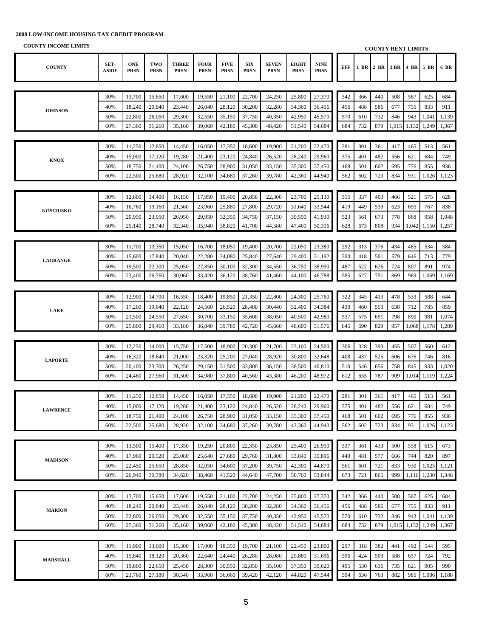| COUNTT THOUGHE LIBRITIO |                      |                           |                    |                             |                            |                            |                           |                             |                             |                            |            |            | <b>COUNTY RENT LIMITS</b> |            |            |              |              |
|-------------------------|----------------------|---------------------------|--------------------|-----------------------------|----------------------------|----------------------------|---------------------------|-----------------------------|-----------------------------|----------------------------|------------|------------|---------------------------|------------|------------|--------------|--------------|
| <b>COUNTY</b>           | SET-<br><b>ASIDE</b> | <b>ONE</b><br><b>PRSN</b> | TWO<br><b>PRSN</b> | <b>THREE</b><br><b>PRSN</b> | <b>FOUR</b><br><b>PRSN</b> | <b>FIVE</b><br><b>PRSN</b> | <b>SIX</b><br><b>PRSN</b> | <b>SEVEN</b><br><b>PRSN</b> | <b>EIGHT</b><br><b>PRSN</b> | <b>NINE</b><br><b>PRSN</b> | EFF        | 1 BR       | 2 BR                      | 3 BR       | 4 BR 5 BR  |              | 6 BR         |
|                         |                      |                           |                    |                             |                            |                            |                           |                             |                             |                            |            |            |                           |            |            |              |              |
|                         | 30%                  | 13,700                    | 15,650             | 17,600                      | 19,550                     | 21,100                     | 22,700                    | 24,250                      | 25,800                      | 27,370                     | 342        | 366        | 440                       | 508        | 567        | 625          | 684          |
|                         | 40%                  | 18,240                    | 20,840             | 23,440                      | 26,040                     | 28,120                     | 30,200                    | 32,280                      | 34,360                      | 36,456                     | 456        | 488        | 586                       | 677        | 755        | 833          | 911          |
| <b>JOHNSON</b>          | 50%                  | 22,800                    | 26,050             | 29,300                      | 32,550                     | 35,150                     | 37,750                    | 40,350                      | 42,950                      | 45,570                     | 570        | 610        | 732                       | 846        | 943        | 1,041        | 1,139        |
|                         | 60%                  | 27,360                    | 31,260             | 35,160                      | 39,060                     | 42,180                     | 45,300                    | 48,420                      | 51,540                      | 54,684                     | 684        | 732        | 879                       | 1,015      | 1,132      | 1,249        | 1,367        |
|                         |                      |                           |                    |                             |                            |                            |                           |                             |                             |                            |            |            |                           |            |            |              |              |
|                         | 30%                  | 11,250                    | 12,850             | 14,450                      | 16,050                     | 17,350                     | 18,600                    | 19,900                      | 21,200                      | 22,470                     | 281        | 301        | 361                       | 417        | 465        | 513          | 561          |
|                         | 40%                  | 15,000                    | 17,120             | 19,280                      | 21,400                     | 23,120                     | 24,840                    | 26,520                      | 28,240                      | 29,960                     | 375        | 401        | 482                       | 556        | 621        | 684          | 749          |
| <b>KNOX</b>             |                      |                           |                    |                             |                            |                            |                           |                             |                             |                            |            |            |                           |            |            |              |              |
|                         | 50%<br>60%           | 18,750<br>22,500          | 21,400<br>25,680   | 24,100<br>28,920            | 26,750<br>32,100           | 28,900<br>34,680           | 31,050<br>37,260          | 33,150<br>39,780            | 35,300<br>42,360            | 37,450<br>44,940           | 468<br>562 | 501<br>602 | 602<br>723                | 695<br>834 | 776<br>931 | 855<br>1,026 | 936<br>1,123 |
|                         |                      |                           |                    |                             |                            |                            |                           |                             |                             |                            |            |            |                           |            |            |              |              |
|                         |                      |                           |                    |                             |                            |                            |                           |                             |                             |                            |            |            |                           |            |            |              |              |
|                         | 30%                  | 12,600                    | 14,400             | 16,150                      | 17,950                     | 19,400                     | 20,850                    | 22,300                      | 23,700                      | 25,130                     | 315        | 337        | 403                       | 466        | 521        | 575          | 628          |
| <b>KOSCIUSKO</b>        | 40%                  | 16,760                    | 19,160             | 21,560                      | 23,960                     | 25,880                     | 27,800                    | 29,720                      | 31,640                      | 33,544                     | 419        | 449        | 539                       | 623        | 695        | 767          | 838          |
|                         | 50%                  | 20,950                    | 23,950             | 26,950                      | 29,950                     | 32,350                     | 34,750                    | 37,150                      | 39,550                      | 41,930                     | 523        | 561        | 673                       | 778        | 868        | 958          | 1,048        |
|                         | 60%                  | 25,140                    | 28,740             | 32,340                      | 35,940                     | 38,820                     | 41,700                    | 44,580                      | 47,460                      | 50,316                     | 628        | 673        | 808                       | 934        | 1,042      | 1,150        | 1,257        |
|                         |                      |                           |                    |                             |                            |                            |                           |                             |                             |                            |            |            |                           |            |            |              |              |
|                         | 30%                  | 11,700                    | 13,350             | 15,050                      | 16,700                     | 18,050                     | 19,400                    | 20,700                      | 22,050                      | 23,380                     | 292        | 313        | 376                       | 434        | 485        | 534          | 584          |
| <b>LAGRANGE</b>         | 40%                  | 15,600                    | 17,840             | 20,040                      | 22,280                     | 24,080                     | 25,840                    | 27,640                      | 29,400                      | 31,192                     | 390        | 418        | 501                       | 579        | 646        | 713          | 779          |
|                         | 50%                  | 19,500                    | 22,300             | 25,050                      | 27,850                     | 30,100                     | 32,300                    | 34,550                      | 36,750                      | 38,990                     | 487        | 522        | 626                       | 724        | 807        | 891          | 974          |
|                         | 60%                  | 23,400                    | 26,760             | 30,060                      | 33,420                     | 36,120                     | 38,760                    | 41,460                      | 44,100                      | 46,788                     | 585        | 627        | 751                       | 869        | 969        | 1,069        | 1,169        |
|                         |                      |                           |                    |                             |                            |                            |                           |                             |                             |                            |            |            |                           |            |            |              |              |
|                         | 30%                  | 12,900                    | 14,700             | 16,550                      | 18,400                     | 19,850                     | 21,350                    | 22,800                      | 24,300                      | 25,760                     | 322        | 345        | 413                       | 478        | 533        | 588          | 644          |
| <b>LAKE</b>             | 40%                  | 17,200                    | 19,640             | 22,120                      | 24,560                     | 26,520                     | 28,480                    | 30,440                      | 32,400                      | 34,384                     | 430        | 460        | 553                       | 638        | 712        | 785          | 859          |
|                         | 50%                  | 21,500                    | 24,550             | 27,650                      | 30,700                     | 33,150                     | 35,600                    | 38,050                      | 40,500                      | 42,980                     | 537        | 575        | 691                       | 798        | 890        | 981          | 1,074        |
|                         | 60%                  | 25,800                    | 29,460             | 33,180                      | 36,840                     | 39,780                     | 42,720                    | 45,660                      | 48,600                      | 51,576                     | 645        | 690        | 829                       | 957        | 1,068      | 1,178        | 1,289        |
|                         |                      |                           |                    |                             |                            |                            |                           |                             |                             |                            |            |            |                           |            |            |              |              |
|                         | 30%                  | 12,250                    | 14,000             | 15,750                      | 17,500                     | 18,900                     | 20,300                    | 21,700                      | 23,100                      | 24,500                     | 306        | 328        | 393                       | 455        | 507        | 560          | 612          |
| <b>LAPORTE</b>          | 40%                  | 16,320                    | 18,640             | 21,000                      | 23,320                     | 25,200                     | 27,040                    | 28,920                      | 30,800                      | 32,648                     | 408        | 437        | 525                       | 606        | 676        | 746          | 816          |
|                         | 50%                  | 20,400                    | 23,300             | 26,250                      | 29,150                     | 31,500                     | 33,800                    | 36,150                      | 38,500                      | 40,810                     | 510        | 546        | 656                       | 758        | 845        | 933          | 1,020        |
|                         | 60%                  | 24,480                    | 27,960             | 31,500                      | 34,980                     | 37,800                     | 40,560                    | 43,380                      | 46,200                      | 48,972                     | 612        | 655        | 787                       | 909        | 1,014      | 1,119        | 1,224        |
|                         |                      |                           |                    |                             |                            |                            |                           |                             |                             |                            |            |            |                           |            |            |              |              |
|                         | 30%                  | 11,250                    | 12,850             | 14,450                      | 16,050                     | 17,350                     | 18,600                    | 19,900                      | 21,200                      | 22,470                     | 281        | 301        | 361                       | 417        | 465        | 513          | 561          |
|                         | 40%                  | 15,000                    | 17,120             | 19,280                      | 21,400                     | 23,120                     | 24,840                    | 26,520                      | 28,240                      | 29.960                     | 375        | 401        | 482                       | 556        | 621        | 684          | 749          |
| <b>LAWRENCE</b>         | 50%                  | 18,750                    | 21,400             | 24,100                      | 26,750                     | 28,900                     | 31,050                    | 33,150                      | 35,300                      | 37,450                     | 468        | 501        | 602                       | 695        | 776        | 855          | 936          |
|                         | 60%                  | 22,500                    | 25,680             | 28,920                      | 32,100                     | 34,680                     | 37,260                    | 39,780                      | 42,360                      | 44,940                     | 562        | 602        | 723                       | 834        | 931        | 1,026        | 1,123        |
|                         |                      |                           |                    |                             |                            |                            |                           |                             |                             |                            |            |            |                           |            |            |              |              |
|                         | 30%                  | 13,500                    | 15,400             | 17,350                      | 19,250                     | 20,800                     | 22,350                    | 23,850                      | 25,400                      | 26,950                     | 337        | 361        | 433                       | 500        | 558        | 615          | 673          |
|                         | 40%                  | 17,960                    | 20,520             | 23,080                      | 25,640                     | 27,680                     | 29,760                    | 31,800                      | 33,840                      | 35,896                     | 449        | 481        | 577                       | 666        | 744        | 820          | 897          |
| <b>MADISON</b>          | 50%                  | 22,450                    | 25,650             | 28,850                      | 32,050                     | 34,600                     | 37,200                    | 39,750                      | 42,300                      | 44,870                     | 561        | 601        | 721                       | 833        | 930        | 1,025        | 1,121        |
|                         | 60%                  | 26,940                    | 30,780             | 34,620                      | 38,460                     | 41,520                     | 44,640                    | 47,700                      | 50,760                      | 53,844                     | 673        | 721        | 865                       | 999        | 1,116      | 1,230        | 1,346        |
|                         |                      |                           |                    |                             |                            |                            |                           |                             |                             |                            |            |            |                           |            |            |              |              |
|                         | 30%                  | 13,700                    | 15,650             | 17,600                      | 19,550                     | 21,100                     | 22,700                    | 24,250                      | 25,800                      | 27,370                     | 342        | 366        | 440                       | 508        | 567        | 625          | 684          |
|                         | 40%                  | 18,240                    | 20,840             | 23,440                      | 26,040                     | 28,120                     | 30,200                    | 32,280                      | 34,360                      | 36,456                     | 456        | 488        | 586                       | 677        | 755        | 833          | 911          |
| <b>MARION</b>           | 50%                  | 22,800                    | 26,050             | 29,300                      | 32,550                     | 35,150                     | 37,750                    | 40,350                      | 42,950                      | 45,570                     | 570        | 610        | 732                       | 846        | 943        | 1,041        | 1,139        |
|                         | 60%                  | 27,360                    | 31,260             | 35,160                      | 39,060                     | 42,180                     | 45,300                    | 48,420                      | 51,540                      | 54,684                     | 684        | 732        | 879                       | 1,015      | 1,132      | 1,249        | 1,367        |
|                         |                      |                           |                    |                             |                            |                            |                           |                             |                             |                            |            |            |                           |            |            |              |              |
|                         | 30%                  | 11,900                    | 13,600             | 15,300                      | 17,000                     | 18,350                     | 19,700                    | 21,100                      | 22,450                      | 23,800                     | 297        | 318        | 382                       | 441        | 492        | 544          | 595          |
|                         | 40%                  |                           |                    |                             | 22,640                     |                            |                           | 28,080                      |                             |                            | 396        | 424        |                           | 588        | 657        | 724          |              |
| <b>MARSHALL</b>         | 50%                  | 15,840                    | 18,120<br>22,650   | 20,360                      |                            | 24,440                     | 26,280<br>32,850          | 35,100                      | 29,880                      | 31,696                     | 495        |            | 509<br>636                | 735        | 821        | 905          | 792<br>990   |
|                         | 60%                  | 19,800<br>23,760          | 27,180             | 25,450<br>30,540            | 28,300<br>33,960           | 30,550<br>36,660           | 39,420                    | 42,120                      | 37,350<br>44,820            | 39,620<br>47,544           | 594        | 530<br>636 | 763                       | 882        | 985        | 1,086        | 1,188        |
|                         |                      |                           |                    |                             |                            |                            |                           |                             |                             |                            |            |            |                           |            |            |              |              |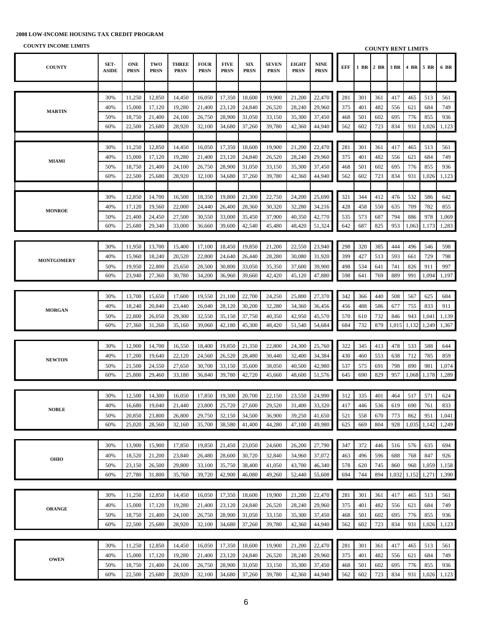**COUNTY INCOME LIMITS**

**COUNTY SET-ASIDE ONE PRSN TWO PRSN THREE PRSN FOUR PRSN FIVE PRSN SIX PRSN SEVEN PRSN EIGHT PRSN NINE PRSN EFF 1 BR 2 BR 3 BR 4 BR 5 BR 6 BR** 30% 11,250 12,850 14,450 16,050 17,350 18,600 19,900 21,200 22,470 281 301 361 417 465 513 561 40% 15,000 17,120 19,280 21,400 23,120 24,840 26,520 28,240 29,960 375 401 482 556 621 684 749 50% 18,750 21,400 24,100 26,750 28,900 31,050 33,150 35,300 37,450 468 501 602 695 776 855 936 60% 22,500 25,680 28,920 32,100 34,680 37,260 39,780 42,360 44,940 562 602 723 834 931 1,026 1,123 30% 11,250 12,850 14,450 16,050 17,350 18,600 19,900 21,200 22,470 281 301 361 417 465 513 561 40% 15,000 17,120 19,280 21,400 23,120 24,840 26,520 28,240 29,960 375 401 482 556 621 684 749 50% | 18,750 | 21,400 | 24,100 | 26,750 | 28,900 | 31,050 | 33,150 | 35,300 | 37,450 | | 468 | 501 | 602 | 695 | 776 | 855 | 936 60% 22,500 25,680 28,920 32,100 34,680 37,260 39,780 42,360 44,940 562 602 723 834 931 1,026 1,123 30% | 12,850 | 14,700 | 16,500 | 18,350 | 19,800 | 21,300 | 22,750 | 24,200 | 25,690 | 321 | 344 | 412 | 476 | 532 | 586 | 642 40% | 17,120 | 19,560 | 22,000 | 24,440 | 26,400 | 28,360 | 30,320 | 32,280 | 34,216 | | 428 | 458 | 550 | 635 | 709 | 782 | 855 50% 21,400 24,450 27,500 30,550 33,000 35,450 37,900 40,350 42,770 535 573 687 794 886 978 1,069 60% 25,680 29,340 33,000 36,660 39,600 42,540 45,480 48,420 51,324 642 687 825 953 1,063 1,173 1,283 30% 11,950 13,700 15,400 17,100 18,450 19,850 21,200 22,550 23,940 298 320 385 444 496 546 598 40% | 15,960 | 18,240 | 20,520 | 22,800 | 24,640 | 26,440 | 28,280 | 30,080 | 31,920 | | 399 | 427 | 513 | 593 | 661 | 729 | 798 50% 19,950 22,800 25,650 28,500 30,800 33,050 35,350 37,600 39,900 498 534 641 741 826 911 997 60% 23,940 27,360 30,780 34,200 36,960 39,660 42,420 45,120 47,880 598 641 769 889 991 1,094 1,197 30% 13,700 15,650 17,600 19,550 21,100 22,700 24,250 25,800 27,370 342 366 440 508 567 625 684 40% 18,240 20,840 23,440 26,040 28,120 30,200 32,280 34,360 36,456 456 488 586 677 755 833 911 50% 22,800 26,050 29,300 32,550 35,150 37,750 40,350 42,950 45,570 570 610 732 846 943 1,041 1,139 60% 27,360 31,260 35,160 39,060 42,180 45,300 48,420 51,540 54,684 684 732 879 1,015 1,132 1,249 1,367 30% 12,900 14,700 16,550 18,400 19,850 21,350 22,800 24,300 25,760 322 345 413 478 533 588 644 40% 17,200 19,640 22,120 24,560 26,520 28,480 30,440 32,400 34,384 430 460 553 638 712 785 859 50% 21,500 24,550 27,650 30,700 33,150 35,600 38,050 40,500 42,980 537 575 691 798 890 981 1,074 60% 25,800 29,460 33,180 36,840 39,780 42,720 45,660 48,600 51,576 645 690 829 957 1,068 1,178 1,289 30% 12,500 14,300 16,050 17,850 19,300 20,700 22,150 23,550 24,990 312 335 401 464 517 571 624 40% 16,680 19,040 21,440 23,800 25,720 27,600 29,520 31,400 33,320 417 446 536 619 690 761 833 50% 20,850 23,800 26,800 29,750 32,150 34,500 36,900 39,250 41,650 521 558 670 773 862 951 1,041 60% 25,020 28,560 32,160 35,700 38,580 41,400 44,280 47,100 49,980 625 669 804 928 1,035 1,142 1,249 30% 13,900 15,900 17,850 19,850 21,450 23,050 24,600 26,200 27,790 347 372 446 516 576 635 694 40% | 18,520 | 21,200 | 23,840 | 26,480 | 28,600 | 30,720 | 32,840 | 34,960 | 37,072 | | 463 | 496 | 596 | 688 | 768 | 847 | 926 50% 23,150 26,500 29,800 33,100 35,750 38,400 41,050 43,700 46,340 578 620 745 860 960 1,059 1,158 60% 27,780 31,800 35,760 39,720 42,900 46,080 49,260 52,440 55,608 694 744 894 1,032 1,152 1,271 1,390 30% 11,250 12,850 14,450 16,050 17,350 18,600 19,900 21,200 22,470 281 301 361 417 465 513 561 40% 15,000 17,120 19,280 21,400 23,120 24,840 26,520 28,240 29,960 375 401 482 556 621 684 749 50% | 18,750 | 21,400 | 24,100 | 26,750 | 28,900 | 31,050 | 33,150 | 35,300 | 37,450 | | 468 | 501 | 602 | 695 | 776 | 855 | 936 60% 22,500 25,680 28,920 32,100 34,680 37,260 39,780 42,360 44,940 562 602 723 834 931 1,026 1,123 30% 11,250 12,850 14,450 16,050 17,350 18,600 19,900 21,200 22,470 281 301 361 417 465 513 561 40% 15,000 17,120 19,280 21,400 23,120 24,840 26,520 28,240 29,960 375 401 482 556 621 684 749 50% | 18,750 | 21,400 | 24,100 | 26,750 | 28,900 | 31,050 | 33,150 | 35,300 | 37,450 | | 468 | 501 | 602 | 695 | 776 | 855 | 936 60% 22,500 25,680 28,920 32,100 34,680 37,260 39,780 42,360 44,940 562 602 723 834 931 1,026 1,123 **MONROE MONTGOMERY MORGAN NEWTON MARTIN MIAMI NOBLE OHIO ORANGE OWEN COUNTY RENT LIMITS**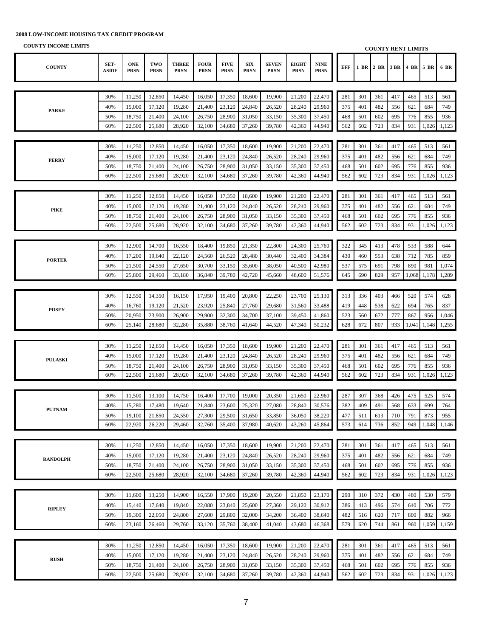| COUNTT TREQUIE LIMITS |                      |                           |                    |                             |                            |                            |                           |                             |                             |                            |            |     | <b>COUNTY RENT LIMITS</b> |      |       |           |       |
|-----------------------|----------------------|---------------------------|--------------------|-----------------------------|----------------------------|----------------------------|---------------------------|-----------------------------|-----------------------------|----------------------------|------------|-----|---------------------------|------|-------|-----------|-------|
| <b>COUNTY</b>         | SET-<br><b>ASIDE</b> | <b>ONE</b><br><b>PRSN</b> | TWO<br><b>PRSN</b> | <b>THREE</b><br><b>PRSN</b> | <b>FOUR</b><br><b>PRSN</b> | <b>FIVE</b><br><b>PRSN</b> | <b>SIX</b><br><b>PRSN</b> | <b>SEVEN</b><br><b>PRSN</b> | <b>EIGHT</b><br><b>PRSN</b> | <b>NINE</b><br><b>PRSN</b> | <b>EFF</b> |     | 1 BR 2 BR                 | 3 BR |       | 4 BR 5 BR | 6 BR  |
|                       |                      |                           |                    |                             |                            |                            |                           |                             |                             |                            |            |     |                           |      |       |           |       |
|                       | 30%                  | 11,250                    | 12,850             | 14,450                      | 16,050                     | 17,350                     | 18,600                    | 19,900                      | 21,200                      | 22,470                     | 281        | 301 | 361                       | 417  | 465   | 513       | 561   |
|                       | 40%                  | 15,000                    | 17,120             | 19,280                      | 21,400                     | 23,120                     | 24,840                    | 26,520                      | 28,240                      | 29,960                     | 375        | 401 | 482                       | 556  | 621   | 684       | 749   |
| <b>PARKE</b>          |                      |                           |                    |                             |                            |                            |                           |                             |                             |                            |            |     |                           |      |       |           |       |
|                       | 50%<br>60%           | 18,750                    | 21,400             | 24,100                      | 26,750                     | 28,900                     | 31,050                    | 33,150                      | 35,300                      | 37,450                     | 468        | 501 | 602                       | 695  | 776   | 855       | 936   |
|                       |                      | 22,500                    | 25,680             | 28,920                      | 32,100                     | 34,680                     | 37,260                    | 39,780                      | 42,360                      | 44,940                     | 562        | 602 | 723                       | 834  | 931   | 1,026     | 1,123 |
|                       |                      |                           |                    |                             |                            |                            |                           |                             |                             |                            |            |     |                           |      |       |           |       |
|                       | 30%                  | 11,250                    | 12,850             | 14,450                      | 16,050                     | 17,350                     | 18,600                    | 19,900                      | 21,200                      | 22,470                     | 281        | 301 | 361                       | 417  | 465   | 513       | 561   |
| <b>PERRY</b>          | 40%                  | 15,000                    | 17,120             | 19,280                      | 21,400                     | 23,120                     | 24,840                    | 26,520                      | 28,240                      | 29,960                     | 375        | 401 | 482                       | 556  | 621   | 684       | 749   |
|                       | 50%                  | 18,750                    | 21,400             | 24,100                      | 26,750                     | 28,900                     | 31,050                    | 33,150                      | 35,300                      | 37,450                     | 468        | 501 | 602                       | 695  | 776   | 855       | 936   |
|                       | 60%                  | 22,500                    | 25,680             | 28,920                      | 32,100                     | 34,680                     | 37,260                    | 39,780                      | 42,360                      | 44,940                     | 562        | 602 | 723                       | 834  | 931   | 1,026     | 1,123 |
|                       |                      |                           |                    |                             |                            |                            |                           |                             |                             |                            |            |     |                           |      |       |           |       |
|                       | 30%                  | 11,250                    | 12,850             | 14,450                      | 16,050                     | 17,350                     | 18,600                    | 19,900                      | 21,200                      | 22,470                     | 281        | 301 | 361                       | 417  | 465   | 513       | 561   |
| <b>PIKE</b>           | 40%                  | 15,000                    | 17,120             | 19,280                      | 21,400                     | 23,120                     | 24,840                    | 26,520                      | 28,240                      | 29,960                     | 375        | 401 | 482                       | 556  | 621   | 684       | 749   |
|                       | 50%                  | 18,750                    | 21,400             | 24,100                      | 26,750                     | 28,900                     | 31,050                    | 33,150                      | 35,300                      | 37,450                     | 468        | 501 | 602                       | 695  | 776   | 855       | 936   |
|                       | 60%                  | 22,500                    | 25,680             | 28,920                      | 32,100                     | 34,680                     | 37,260                    | 39,780                      | 42,360                      | 44,940                     | 562        | 602 | 723                       | 834  | 931   | 1,026     | 1,123 |
|                       |                      |                           |                    |                             |                            |                            |                           |                             |                             |                            |            |     |                           |      |       |           |       |
|                       | 30%                  | 12,900                    | 14,700             | 16,550                      | 18,400                     | 19,850                     | 21,350                    | 22,800                      | 24,300                      | 25,760                     | 322        | 345 | 413                       | 478  | 533   | 588       | 644   |
|                       | 40%                  | 17,200                    | 19,640             | 22,120                      | 24,560                     | 26,520                     | 28,480                    | 30,440                      | 32,400                      | 34,384                     | 430        | 460 | 553                       | 638  | 712   | 785       | 859   |
| <b>PORTER</b>         | 50%                  | 21,500                    | 24,550             | 27,650                      | 30,700                     | 33,150                     | 35,600                    | 38,050                      | 40,500                      | 42,980                     | 537        | 575 | 691                       | 798  | 890   | 981       | 1,074 |
|                       | 60%                  | 25,800                    | 29,460             | 33,180                      | 36,840                     | 39,780                     | 42,720                    | 45,660                      | 48,600                      | 51,576                     | 645        | 690 | 829                       | 957  | 1,068 | 1,178     | 1,289 |
|                       |                      |                           |                    |                             |                            |                            |                           |                             |                             |                            |            |     |                           |      |       |           |       |
|                       |                      |                           |                    |                             |                            |                            |                           |                             |                             |                            |            |     |                           |      |       |           |       |
|                       | 30%                  | 12,550                    | 14,350             | 16,150                      | 17,950                     | 19,400                     | 20,800                    | 22,250                      | 23,700                      | 25,130                     | 313        | 336 | 403                       | 466  | 520   | 574       | 628   |
| <b>POSEY</b>          | 40%                  | 16,760                    | 19,120             | 21,520                      | 23,920                     | 25,840                     | 27,760                    | 29,680                      | 31,560                      | 33,488                     | 419        | 448 | 538                       | 622  | 694   | 765       | 837   |
|                       | 50%                  | 20,950                    | 23,900             | 26,900                      | 29,900                     | 32,300                     | 34,700                    | 37,100                      | 39,450                      | 41,860                     | 523        | 560 | 672                       | 777  | 867   | 956       | 1,046 |
|                       | 60%                  | 25,140                    | 28,680             | 32,280                      | 35,880                     | 38,760                     | 41,640                    | 44,520                      | 47,340                      | 50,232                     | 628        | 672 | 807                       | 933  | 1,041 | 1,148     | 1,255 |
|                       |                      |                           |                    |                             |                            |                            |                           |                             |                             |                            |            |     |                           |      |       |           |       |
|                       | 30%                  | 11,250                    | 12,850             | 14,450                      | 16,050                     | 17,350                     | 18,600                    | 19,900                      | 21,200                      | 22,470                     | 281        | 301 | 361                       | 417  | 465   | 513       | 561   |
| <b>PULASKI</b>        | 40%                  | 15,000                    | 17,120             | 19,280                      | 21,400                     | 23,120                     | 24,840                    | 26,520                      | 28,240                      | 29,960                     | 375        | 401 | 482                       | 556  | 621   | 684       | 749   |
|                       | 50%                  | 18,750                    | 21,400             | 24,100                      | 26,750                     | 28,900                     | 31,050                    | 33,150                      | 35,300                      | 37,450                     | 468        | 501 | 602                       | 695  | 776   | 855       | 936   |
|                       | 60%                  | 22,500                    | 25,680             | 28,920                      | 32,100                     | 34,680                     | 37,260                    | 39,780                      | 42,360                      | 44,940                     | 562        | 602 | 723                       | 834  | 931   | 1,026     | 1,123 |
|                       |                      |                           |                    |                             |                            |                            |                           |                             |                             |                            |            |     |                           |      |       |           |       |
|                       | 30%                  | 11,500                    | 13,100             | 14,750                      | 16,400                     | 17,700                     | 19,000                    | 20,350                      | 21,650                      | 22,960                     | 287        | 307 | 368                       | 426  | 475   | 525       | 574   |
|                       | 40%                  |                           | 15,280 17,480      | 19,640                      | 21,840                     | 23,600                     | 25,320                    | 27,080                      | 28,840                      | 30,576                     | 382        | 409 | 491                       | 568  | 633   | 699       | 764   |
| <b>PUTNAM</b>         | 50%                  | 19,100                    | 21,850             | 24,550                      | 27,300                     | 29,500                     | 31,650                    | 33,850                      | 36,050                      | 38,220                     | 477        | 511 | 613                       | 710  | 791   | 873       | 955   |
|                       | 60%                  | 22,920                    | 26,220             | 29,460                      | 32,760                     | 35,400                     | 37,980                    | 40,620                      | 43,260                      | 45,864                     | 573        | 614 | 736                       | 852  | 949   | 1,048     | 1,146 |
|                       |                      |                           |                    |                             |                            |                            |                           |                             |                             |                            |            |     |                           |      |       |           |       |
|                       | 30%                  | 11,250                    | 12,850             | 14,450                      | 16,050                     | 17,350                     | 18,600                    | 19,900                      | 21,200                      | 22,470                     | 281        | 301 | 361                       | 417  | 465   | 513       | 561   |
|                       | 40%                  | 15,000                    | 17,120             | 19,280                      | 21,400                     | 23,120                     | 24,840                    | 26,520                      | 28,240                      | 29,960                     | 375        | 401 | 482                       | 556  | 621   | 684       | 749   |
| <b>RANDOLPH</b>       | 50%                  | 18,750                    | 21,400             | 24,100                      | 26,750                     | 28,900                     | 31,050                    | 33,150                      | 35,300                      | 37,450                     | 468        | 501 | 602                       | 695  | 776   | 855       | 936   |
|                       | 60%                  | 22,500                    | 25,680             | 28,920                      | 32,100                     | 34,680                     | 37,260                    | 39,780                      | 42,360                      | 44,940                     | 562        | 602 | 723                       | 834  | 931   | 1,026     | 1,123 |
|                       |                      |                           |                    |                             |                            |                            |                           |                             |                             |                            |            |     |                           |      |       |           |       |
|                       |                      |                           |                    |                             |                            |                            |                           |                             |                             |                            |            |     |                           |      |       |           |       |
|                       | 30%                  | 11,600                    | 13,250             | 14,900                      | 16,550                     | 17,900                     | 19,200                    | 20,550                      | 21,850                      | 23,170                     | 290        | 310 | 372                       | 430  | 480   | 530       | 579   |
| <b>RIPLEY</b>         | 40%                  | 15,440                    | 17,640             | 19,840                      | 22,080                     | 23,840                     | 25,600                    | 27,360                      | 29,120                      | 30,912                     | 386        | 413 | 496                       | 574  | 640   | 706       | 772   |
|                       | 50%                  | 19,300                    | 22,050             | 24,800                      | 27,600                     | 29,800                     | 32,000                    | 34,200                      | 36,400                      | 38,640                     | 482        | 516 | 620                       | 717  | 800   | 882       | 966   |
|                       | 60%                  | 23,160                    | 26,460             | 29,760                      | 33,120                     | 35,760                     | 38,400                    | 41,040                      | 43,680                      | 46,368                     | 579        | 620 | 744                       | 861  | 960   | 1,059     | 1,159 |
|                       |                      |                           |                    |                             |                            |                            |                           |                             |                             |                            |            |     |                           |      |       |           |       |
|                       | 30%                  | 11,250                    | 12,850             | 14,450                      | 16,050                     | 17,350                     | 18,600                    | 19,900                      | 21,200                      | 22,470                     | 281        | 301 | 361                       | 417  | 465   | 513       | 561   |
| <b>RUSH</b>           | 40%                  | 15,000                    | 17,120             | 19,280                      | 21,400                     | 23,120                     | 24,840                    | 26,520                      | 28,240                      | 29,960                     | 375        | 401 | 482                       | 556  | 621   | 684       | 749   |
|                       | 50%                  | 18,750                    | 21,400             | 24,100                      | 26,750                     | 28,900                     | 31,050                    | 33,150                      | 35,300                      | 37,450                     | 468        | 501 | 602                       | 695  | 776   | 855       | 936   |
|                       | 60%                  | 22,500                    | 25,680             | 28,920                      | 32,100                     | 34,680                     | 37,260                    | 39,780                      | 42,360                      | 44,940                     | 562        | 602 | 723                       | 834  | 931   | 1,026     | 1,123 |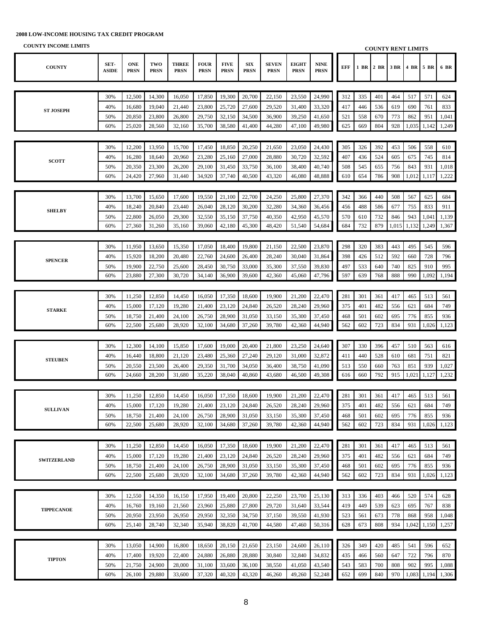| <b>COUNTY INCOME LIMITS</b> |               |                           |                    |                             |                            |                            |                            |                             |                             |                            |            |     |           |       | <b>COUNTY RENT LIMITS</b> |       |       |
|-----------------------------|---------------|---------------------------|--------------------|-----------------------------|----------------------------|----------------------------|----------------------------|-----------------------------|-----------------------------|----------------------------|------------|-----|-----------|-------|---------------------------|-------|-------|
| <b>COUNTY</b>               | SET-<br>ASIDE | <b>ONE</b><br><b>PRSN</b> | TWO<br><b>PRSN</b> | <b>THREE</b><br><b>PRSN</b> | <b>FOUR</b><br><b>PRSN</b> | <b>FIVE</b><br><b>PRSN</b> | ${\bf SIX}$<br><b>PRSN</b> | <b>SEVEN</b><br><b>PRSN</b> | <b>EIGHT</b><br><b>PRSN</b> | <b>NINE</b><br><b>PRSN</b> | <b>EFF</b> |     | 1 BR 2 BR | 3 BR  | 4 BR 5 BR                 |       | 6 BR  |
|                             |               |                           |                    |                             |                            |                            |                            |                             |                             |                            |            |     |           |       |                           |       |       |
|                             | 30%           | 12,500                    | 14,300             | 16,050                      | 17,850                     | 19,300                     | 20,700                     | 22,150                      | 23,550                      | 24,990                     | 312        | 335 | 401       | 464   | 517                       | 571   | 624   |
|                             | 40%           | 16,680                    | 19,040             | 21,440                      | 23,800                     | 25,720                     | 27,600                     | 29,520                      | 31,400                      | 33,320                     | 417        | 446 | 536       | 619   | 690                       | 761   | 833   |
| <b>ST JOSEPH</b>            | 50%           | 20,850                    | 23,800             | 26,800                      | 29,750                     | 32,150                     | 34,500                     | 36,900                      | 39,250                      | 41,650                     | 521        | 558 | 670       | 773   | 862                       | 951   | 1,041 |
|                             | 60%           | 25,020                    | 28,560             | 32,160                      | 35,700                     | 38,580                     | 41,400                     | 44,280                      | 47,100                      | 49,980                     | 625        | 669 | 804       | 928   | 1,035                     | 1,142 | 1,249 |
|                             |               |                           |                    |                             |                            |                            |                            |                             |                             |                            |            |     |           |       |                           |       |       |
|                             | 30%           | 12,200                    | 13,950             | 15,700                      | 17,450                     | 18,850                     | 20,250                     | 21,650                      | 23,050                      | 24,430                     | 305        | 326 | 392       | 453   | 506                       | 558   | 610   |
|                             | 40%           | 16,280                    | 18,640             | 20,960                      | 23,280                     | 25,160                     | 27,000                     | 28,880                      | 30,720                      | 32,592                     | 407        | 436 | 524       | 605   | 675                       | 745   | 814   |
| <b>SCOTT</b>                | 50%           | 20,350                    | 23,300             | 26,200                      | 29,100                     | 31,450                     | 33,750                     | 36,100                      | 38,400                      | 40,740                     | 508        | 545 | 655       | 756   | 843                       | 931   | 1,018 |
|                             | 60%           | 24,420                    | 27,960             | 31,440                      | 34,920                     | 37,740                     | 40,500                     | 43,320                      | 46,080                      | 48,888                     | 610        | 654 | 786       | 908   | 1,012                     | 1,117 | 1,222 |
|                             |               |                           |                    |                             |                            |                            |                            |                             |                             |                            |            |     |           |       |                           |       |       |
|                             | 30%           | 13,700                    | 15,650             | 17,600                      | 19,550                     | 21,100                     | 22,700                     | 24,250                      | 25,800                      | 27,370                     | 342        | 366 | 440       | 508   | 567                       | 625   | 684   |
| <b>SHELBY</b>               | 40%           | 18,240                    | 20,840             | 23,440                      | 26,040                     | 28,120                     | 30,200                     | 32,280                      | 34,360                      | 36,456                     | 456        | 488 | 586       | 677   | 755                       | 833   | 911   |
|                             | 50%           | 22,800                    | 26,050             | 29,300                      | 32,550                     | 35,150                     | 37,750                     | 40,350                      | 42,950                      | 45,570                     | 570        | 610 | 732       | 846   | 943                       | 1,041 | 1,139 |
|                             | 60%           | 27,360                    | 31,260             | 35,160                      | 39,060                     | 42,180                     | 45,300                     | 48,420                      | 51,540                      | 54,684                     | 684        | 732 | 879       | 1,015 | 1,132                     | 1,249 | 1,367 |
|                             |               |                           |                    |                             |                            |                            |                            |                             |                             |                            |            |     |           |       |                           |       |       |
|                             | 30%           | 11,950                    | 13,650             | 15,350                      | 17,050                     | 18,400                     | 19,800                     | 21,150                      | 22,500                      | 23,870                     | 298        | 320 | 383       | 443   | 495                       | 545   | 596   |
| <b>SPENCER</b>              | 40%           | 15,920                    | 18,200             | 20,480                      | 22,760                     | 24,600                     | 26,400                     | 28,240                      | 30,040                      | 31,864                     | 398        | 426 | 512       | 592   | 660                       | 728   | 796   |
|                             | 50%           | 19,900                    | 22,750             | 25,600                      | 28,450                     | 30,750                     | 33,000                     | 35,300                      | 37,550                      | 39,830                     | 497        | 533 | 640       | 740   | 825                       | 910   | 995   |
|                             | 60%           | 23,880                    | 27,300             | 30,720                      | 34,140                     | 36,900                     | 39,600                     | 42,360                      | 45,060                      | 47,796                     | 597        | 639 | 768       | 888   | 990                       | 1,092 | 1,194 |
|                             |               |                           |                    |                             |                            |                            |                            |                             |                             |                            |            |     |           |       |                           |       |       |
|                             | 30%           | 11,250                    | 12,850             | 14,450                      | 16,050                     | 17,350                     | 18,600                     | 19,900                      | 21,200                      | 22,470                     | 281        | 301 | 361       | 417   | 465                       | 513   | 561   |
| <b>STARKE</b>               | 40%           | 15,000                    | 17,120             | 19,280                      | 21,400                     | 23,120                     | 24,840                     | 26,520                      | 28,240                      | 29,960                     | 375        | 401 | 482       | 556   | 621                       | 684   | 749   |
|                             | 50%           | 18,750                    | 21,400             | 24,100                      | 26,750                     | 28,900                     | 31,050                     | 33,150                      | 35,300                      | 37,450                     | 468        | 501 | 602       | 695   | 776                       | 855   | 936   |
|                             | 60%           | 22,500                    | 25,680             | 28,920                      | 32,100                     | 34,680                     | 37,260                     | 39,780                      | 42,360                      | 44,940                     | 562        | 602 | 723       | 834   | 931                       | 1,026 | 1,123 |
|                             |               |                           |                    |                             |                            |                            |                            |                             |                             |                            |            |     |           |       |                           |       |       |
|                             | 30%           | 12,300                    | 14,100             | 15,850                      | 17,600                     | 19,000                     | 20,400                     | 21,800                      | 23,250                      | 24,640                     | 307        | 330 | 396       | 457   | 510                       | 563   | 616   |
| <b>STEUBEN</b>              | 40%           | 16,440                    | 18,800             | 21,120                      | 23,480                     | 25,360                     | 27,240                     | 29,120                      | 31,000                      | 32,872                     | 411        | 440 | 528       | 610   | 681                       | 751   | 821   |
|                             | 50%           | 20,550                    | 23,500             | 26,400                      | 29,350                     | 31,700                     | 34,050                     | 36,400                      | 38,750                      | 41,090                     | 513        | 550 | 660       | 763   | 851                       | 939   | 1,027 |
|                             | 60%           | 24,660                    | 28,200             | 31,680                      | 35,220                     | 38,040                     | 40,860                     | 43,680                      | 46,500                      | 49,308                     | 616        | 660 | 792       | 915   | 1,021                     | 1,127 | 1,232 |
|                             |               |                           |                    |                             |                            |                            |                            |                             |                             |                            |            |     |           |       |                           |       |       |
|                             | 30%           | 11,250                    | 12,850             | 14,450                      | 16,050                     | 17,350                     | 18,600                     | 19,900                      | 21,200                      | 22,470                     | 281        | 301 | 361       | 417   | 465                       | 513   | 561   |
| <b>SULLIVAN</b>             | 40%           | 15.000                    | 17.120             | 19.280                      | 21.400                     | 23,120                     | 24,840                     | 26.520                      | 28,240                      | 29.960                     | 375        | 401 | 482       | 556   | 621                       | 684   | 749   |
|                             | 50%           | 18,750                    | 21,400             | 24,100                      | 26,750                     | 28,900                     | 31,050                     | 33,150                      | 35,300                      | 37,450                     | 468        | 501 | 602       | 695   | 776                       | 855   | 936   |
|                             | 60%           | 22,500                    | 25,680             | 28,920                      | 32,100                     | 34,680                     | 37,260                     | 39,780                      | 42,360                      | 44,940                     | 562        | 602 | 723       | 834   | 931                       | 1,026 | 1,123 |
|                             |               |                           |                    |                             |                            |                            |                            |                             |                             |                            |            |     |           |       |                           |       |       |
|                             | 30%           | 11,250                    | 12,850             | 14,450                      | 16,050                     | 17,350                     | 18,600                     | 19,900                      | 21,200                      | 22,470                     | 281        | 301 | 361       | 417   | 465                       | 513   | 561   |
| <b>SWITZERLAND</b>          | 40%           | 15,000                    | 17,120             | 19,280                      | 21,400                     | 23,120                     | 24,840                     | 26,520                      | 28,240                      | 29,960                     | 375        | 401 | 482       | 556   | 621                       | 684   | 749   |
|                             | 50%           | 18,750                    | 21,400             | 24,100                      | 26,750                     | 28,900                     | 31,050                     | 33,150                      | 35,300                      | 37,450                     | 468        | 501 | 602       | 695   | 776                       | 855   | 936   |
|                             | 60%           | 22,500                    | 25,680             | 28,920                      | 32,100                     | 34,680                     | 37,260                     | 39,780                      | 42,360                      | 44,940                     | 562        | 602 | 723       | 834   | 931                       | 1,026 | 1,123 |
|                             |               |                           |                    |                             |                            |                            |                            |                             |                             |                            |            |     |           |       |                           |       |       |
|                             | 30%           | 12,550                    | 14,350             | 16,150                      | 17,950                     | 19,400                     | 20,800                     | 22,250                      | 23,700                      | 25,130                     | 313        | 336 | 403       | 466   | 520                       | 574   | 628   |
| <b>TIPPECANOE</b>           | 40%           | 16,760                    | 19,160             | 21,560                      | 23,960                     | 25,880                     | 27,800                     | 29,720                      | 31,640                      | 33,544                     | 419        | 449 | 539       | 623   | 695                       | 767   | 838   |
|                             | 50%           | 20,950                    | 23,950             | 26,950                      | 29,950                     | 32,350                     | 34,750                     | 37,150                      | 39,550                      | 41,930                     | 523        | 561 | 673       | 778   | 868                       | 958   | 1,048 |
|                             | 60%           | 25,140                    | 28,740             | 32,340                      | 35,940                     | 38,820                     | 41,700                     | 44,580                      | 47,460                      | 50,316                     | 628        | 673 | 808       | 934   | 1,042                     | 1,150 | 1,257 |
|                             |               |                           |                    |                             |                            |                            |                            |                             |                             |                            |            |     |           |       |                           |       |       |
|                             | 30%           | 13,050                    | 14,900             | 16,800                      | 18,650                     | 20,150                     | 21,650                     | 23,150                      | 24,600                      | 26,110                     | 326        | 349 | 420       | 485   | 541                       | 596   | 652   |
| <b>TIPTON</b>               | 40%           | 17,400                    | 19,920             | 22,400                      | 24,880                     | 26,880                     | 28,880                     | 30,840                      | 32,840                      | 34,832                     | 435        | 466 | 560       | 647   | 722                       | 796   | 870   |
|                             | 50%           | 21,750                    | 24,900             | 28,000                      | 31,100                     | 33,600                     | 36,100                     | 38,550                      | 41,050                      | 43,540                     | 543        | 583 | 700       | 808   | 902                       | 995   | 1,088 |
|                             | 60%           | 26,100                    | 29,880             | 33,600                      | 37,320                     | 40,320                     | 43,320                     | 46,260                      | 49,260                      | 52,248                     | 652        | 699 | 840       | 970   | 1,083                     | 1,194 | 1,306 |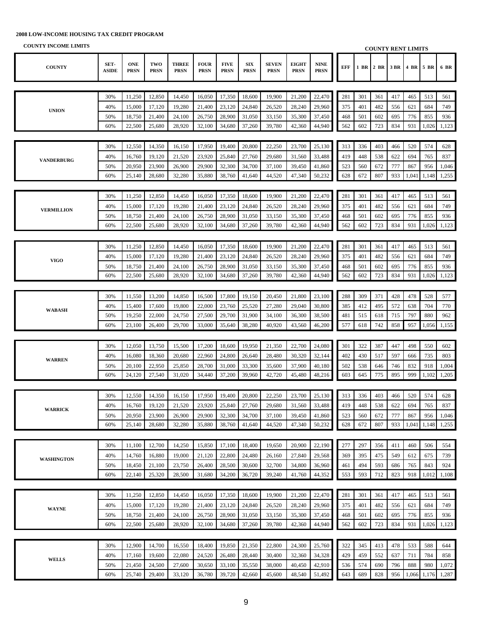| COUNTT THOUGHE LIBRITIO |                      |                           |                    |                             |                            |                            |                           |                             |                             |                            |     |            |      |      | <b>COUNTY RENT LIMITS</b> |              |                |
|-------------------------|----------------------|---------------------------|--------------------|-----------------------------|----------------------------|----------------------------|---------------------------|-----------------------------|-----------------------------|----------------------------|-----|------------|------|------|---------------------------|--------------|----------------|
| <b>COUNTY</b>           | SET-<br><b>ASIDE</b> | <b>ONE</b><br><b>PRSN</b> | TWO<br><b>PRSN</b> | <b>THREE</b><br><b>PRSN</b> | <b>FOUR</b><br><b>PRSN</b> | <b>FIVE</b><br><b>PRSN</b> | <b>SIX</b><br><b>PRSN</b> | <b>SEVEN</b><br><b>PRSN</b> | <b>EIGHT</b><br><b>PRSN</b> | <b>NINE</b><br><b>PRSN</b> | EFF | 1 BR       | 2 BR | 3 BR | 4 BR 5 BR                 |              | 6 BR           |
|                         |                      |                           |                    |                             |                            |                            |                           |                             |                             |                            |     |            |      |      |                           |              |                |
|                         | 30%                  | 11,250                    | 12,850             | 14,450                      | 16,050                     | 17,350                     | 18,600                    | 19,900                      | 21,200                      | 22,470                     | 281 | 301        | 361  | 417  | 465                       | 513          | 561            |
|                         | 40%                  | 15,000                    | 17,120             | 19,280                      | 21,400                     | 23,120                     | 24,840                    | 26,520                      | 28,240                      | 29,960                     | 375 | 401        | 482  | 556  | 621                       | 684          | 749            |
| <b>UNION</b>            | 50%                  | 18,750                    | 21,400             | 24,100                      | 26,750                     | 28,900                     | 31,050                    | 33,150                      | 35,300                      | 37,450                     | 468 | 501        | 602  | 695  | 776                       | 855          | 936            |
|                         | 60%                  | 22,500                    | 25,680             | 28,920                      | 32,100                     | 34,680                     | 37,260                    | 39,780                      | 42,360                      | 44,940                     | 562 | 602        | 723  | 834  | 931                       | 1,026        | 1,123          |
|                         |                      |                           |                    |                             |                            |                            |                           |                             |                             |                            |     |            |      |      |                           |              |                |
|                         | 30%                  | 12,550                    | 14,350             | 16,150                      | 17,950                     | 19,400                     | 20,800                    | 22,250                      | 23,700                      | 25,130                     | 313 | 336        | 403  | 466  | 520                       | 574          | 628            |
|                         | 40%                  | 16,760                    | 19,120             | 21,520                      | 23,920                     | 25,840                     | 27,760                    | 29,680                      | 31,560                      | 33,488                     | 419 | 448        | 538  | 622  | 694                       | 765          | 837            |
| <b>VANDERBURG</b>       | 50%                  | 20,950                    |                    |                             | 29,900                     | 32,300                     |                           |                             |                             |                            | 523 |            | 672  | 777  | 867                       |              |                |
|                         | 60%                  | 25,140                    | 23,900<br>28,680   | 26,900<br>32,280            | 35,880                     | 38,760                     | 34,700<br>41,640          | 37,100<br>44,520            | 39,450<br>47,340            | 41,860<br>50,232           | 628 | 560<br>672 | 807  | 933  | 1,041                     | 956<br>1,148 | 1,046<br>1,255 |
|                         |                      |                           |                    |                             |                            |                            |                           |                             |                             |                            |     |            |      |      |                           |              |                |
|                         |                      |                           |                    |                             |                            |                            |                           |                             |                             |                            |     |            |      |      |                           |              |                |
|                         | 30%                  | 11,250                    | 12,850             | 14,450                      | 16,050                     | 17,350                     | 18,600                    | 19,900                      | 21,200                      | 22,470                     | 281 | 301        | 361  | 417  | 465                       | 513          | 561            |
| <b>VERMILLION</b>       | 40%                  | 15,000                    | 17,120             | 19,280                      | 21,400                     | 23,120                     | 24,840                    | 26,520                      | 28,240                      | 29,960                     | 375 | 401        | 482  | 556  | 621                       | 684          | 749            |
|                         | 50%                  | 18,750                    | 21,400             | 24,100                      | 26,750                     | 28,900                     | 31,050                    | 33,150                      | 35,300                      | 37,450                     | 468 | 501        | 602  | 695  | 776                       | 855          | 936            |
|                         | 60%                  | 22,500                    | 25,680             | 28,920                      | 32,100                     | 34,680                     | 37,260                    | 39,780                      | 42,360                      | 44,940                     | 562 | 602        | 723  | 834  | 931                       | 1,026        | 1,123          |
|                         |                      |                           |                    |                             |                            |                            |                           |                             |                             |                            |     |            |      |      |                           |              |                |
|                         | 30%                  | 11,250                    | 12,850             | 14,450                      | 16,050                     | 17,350                     | 18,600                    | 19,900                      | 21,200                      | 22,470                     | 281 | 301        | 361  | 417  | 465                       | 513          | 561            |
| <b>VIGO</b>             | 40%                  | 15,000                    | 17,120             | 19,280                      | 21,400                     | 23,120                     | 24,840                    | 26,520                      | 28,240                      | 29,960                     | 375 | 401        | 482  | 556  | 621                       | 684          | 749            |
|                         | 50%                  | 18,750                    | 21,400             | 24,100                      | 26,750                     | 28,900                     | 31,050                    | 33,150                      | 35,300                      | 37,450                     | 468 | 501        | 602  | 695  | 776                       | 855          | 936            |
|                         | 60%                  | 22,500                    | 25,680             | 28,920                      | 32,100                     | 34,680                     | 37,260                    | 39,780                      | 42,360                      | 44,940                     | 562 | 602        | 723  | 834  | 931                       | 1,026        | 1,123          |
|                         |                      |                           |                    |                             |                            |                            |                           |                             |                             |                            |     |            |      |      |                           |              |                |
|                         | 30%                  | 11,550                    | 13,200             | 14,850                      | 16,500                     | 17,800                     | 19,150                    | 20,450                      | 21,800                      | 23,100                     | 288 | 309        | 371  | 428  | 478                       | 528          | 577            |
| <b>WABASH</b>           | 40%                  | 15,400                    | 17,600             | 19,800                      | 22,000                     | 23,760                     | 25,520                    | 27,280                      | 29,040                      | 30,800                     | 385 | 412        | 495  | 572  | 638                       | 704          | 770            |
|                         | 50%                  | 19,250                    | 22,000             | 24,750                      | 27,500                     | 29,700                     | 31,900                    | 34,100                      | 36,300                      | 38,500                     | 481 | 515        | 618  | 715  | 797                       | 880          | 962            |
|                         | 60%                  | 23,100                    | 26,400             | 29,700                      | 33,000                     | 35,640                     | 38,280                    | 40,920                      | 43,560                      | 46,200                     | 577 | 618        | 742  | 858  | 957                       | 1,056        | 1,155          |
|                         |                      |                           |                    |                             |                            |                            |                           |                             |                             |                            |     |            |      |      |                           |              |                |
|                         | 30%                  | 12,050                    | 13,750             | 15,500                      | 17,200                     | 18,600                     | 19,950                    | 21,350                      | 22,700                      | 24,080                     | 301 | 322        | 387  | 447  | 498                       | 550          | 602            |
| <b>WARREN</b>           | 40%                  | 16,080                    | 18,360             | 20,680                      | 22,960                     | 24,800                     | 26,640                    | 28,480                      | 30,320                      | 32,144                     | 402 | 430        | 517  | 597  | 666                       | 735          | 803            |
|                         | 50%                  | 20,100                    | 22,950             | 25,850                      | 28,700                     | 31,000                     | 33,300                    | 35,600                      | 37,900                      | 40,180                     | 502 | 538        | 646  | 746  | 832                       | 918          | 1,004          |
|                         | 60%                  | 24,120                    | 27,540             | 31,020                      | 34,440                     | 37,200                     | 39,960                    | 42,720                      | 45,480                      | 48,216                     | 603 | 645        | 775  | 895  | 999                       | 1,102        | 1,205          |
|                         |                      |                           |                    |                             |                            |                            |                           |                             |                             |                            |     |            |      |      |                           |              |                |
|                         | 30%                  | 12,550                    | 14,350             | 16,150                      | 17,950                     | 19,400                     | 20,800                    | 22,250                      | 23,700                      | 25,130                     | 313 | 336        | 403  | 466  | 520                       | 574          | 628            |
| <b>WARRICK</b>          | 40%                  | 16,760                    | 19.120             | 21,520                      | 23,920                     | 25,840                     | 27,760                    | 29,680                      | 31,560                      | 33,488                     | 419 | 448        | 538  | 622  | 694                       | 765          | 837            |
|                         | 50%                  | 20,950                    | 23,900             | 26,900                      | 29,900                     | 32,300                     | 34,700                    | 37,100                      | 39,450                      | 41,860                     | 523 | 560        | 672  | 777  | 867                       | 956          | 1,046          |
|                         | 60%                  | 25,140                    | 28,680             | 32,280                      | 35,880                     | 38,760                     | 41,640                    | 44,520                      | 47,340                      | 50,232                     | 628 | 672        | 807  | 933  | 1,041                     | 1,148        | 1,255          |
|                         |                      |                           |                    |                             |                            |                            |                           |                             |                             |                            |     |            |      |      |                           |              |                |
|                         | 30%                  | 11,100                    | 12,700             | 14,250                      | 15,850                     | 17,100                     | 18,400                    | 19,650                      | 20,900                      | 22,190                     | 277 | 297        | 356  | 411  | 460                       | 506          | 554            |
| <b>WASHINGTON</b>       | 40%                  | 14,760                    | 16,880             | 19,000                      | 21,120                     | 22,800                     | 24,480                    | 26,160                      | 27,840                      | 29,568                     | 369 | 395        | 475  | 549  | 612                       | 675          | 739            |
|                         | 50%                  | 18,450                    | 21,100             | 23,750                      | 26,400                     | 28,500                     | 30,600                    | 32,700                      | 34,800                      | 36,960                     | 461 | 494        | 593  | 686  | 765                       | 843          | 924            |
|                         | 60%                  | 22,140                    | 25,320             | 28,500                      | 31,680                     | 34,200                     | 36,720                    | 39,240                      | 41,760                      | 44,352                     | 553 | 593        | 712  | 823  | 918                       | 1,012        | 1,108          |
|                         |                      |                           |                    |                             |                            |                            |                           |                             |                             |                            |     |            |      |      |                           |              |                |
|                         | 30%                  | 11,250                    | 12,850             | 14,450                      | 16,050                     | 17,350                     | 18,600                    | 19,900                      | 21,200                      | 22,470                     | 281 | 301        | 361  | 417  | 465                       | 513          | 561            |
|                         | 40%                  | 15,000                    | 17,120             | 19,280                      | 21,400                     | 23,120                     | 24,840                    | 26,520                      | 28,240                      | 29,960                     | 375 | 401        | 482  | 556  | 621                       | 684          | 749            |
| <b>WAYNE</b>            | 50%                  | 18,750                    | 21,400             | 24,100                      | 26,750                     | 28,900                     | 31,050                    | 33,150                      | 35,300                      | 37,450                     | 468 | 501        | 602  | 695  | 776                       | 855          | 936            |
|                         | 60%                  | 22,500                    | 25,680             | 28,920                      | 32,100                     | 34,680                     | 37,260                    | 39,780                      | 42,360                      | 44,940                     | 562 | 602        | 723  | 834  | 931                       | 1,026        | 1,123          |
|                         |                      |                           |                    |                             |                            |                            |                           |                             |                             |                            |     |            |      |      |                           |              |                |
|                         | 30%                  | 12,900                    | 14,700             | 16,550                      | 18,400                     | 19,850                     | 21,350                    | 22,800                      | 24,300                      | 25,760                     | 322 | 345        | 413  | 478  | 533                       | 588          | 644            |
|                         | 40%                  | 17,160                    | 19,600             | 22,080                      | 24,520                     | 26,480                     | 28,440                    | 30,400                      | 32,360                      | 34,328                     | 429 | 459        | 552  | 637  | 711                       | 784          | 858            |
| <b>WELLS</b>            | 50%                  | 21,450                    | 24,500             | 27,600                      | 30,650                     | 33,100                     | 35,550                    | 38,000                      | 40,450                      | 42,910                     | 536 | 574        | 690  | 796  | 888                       | 980          | 1,072          |
|                         | 60%                  | 25,740                    | 29,400             | 33,120                      | 36,780                     | 39,720                     | 42,660                    | 45,600                      | 48,540                      | 51,492                     | 643 | 689        | 828  | 956  | 1,066                     | 1,176        | 1,287          |